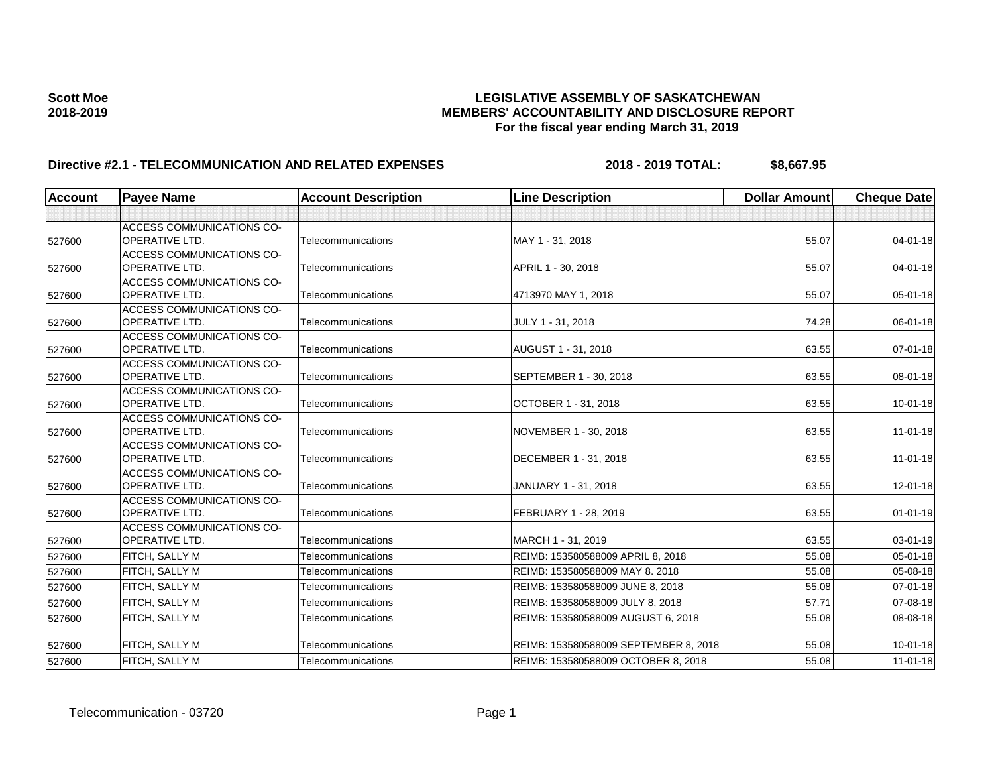| <b>Account</b> | <b>Payee Name</b>                | <b>Account Description</b> | <b>Line Description</b>               | <b>Dollar Amount</b> | <b>Cheque Date</b> |
|----------------|----------------------------------|----------------------------|---------------------------------------|----------------------|--------------------|
|                |                                  |                            |                                       |                      |                    |
|                | <b>ACCESS COMMUNICATIONS CO-</b> |                            |                                       |                      |                    |
| 527600         | <b>OPERATIVE LTD.</b>            | Telecommunications         | MAY 1 - 31, 2018                      | 55.07                | 04-01-18           |
|                | ACCESS COMMUNICATIONS CO-        |                            |                                       |                      |                    |
| 527600         | <b>OPERATIVE LTD.</b>            | Telecommunications         | APRIL 1 - 30, 2018                    | 55.07                | $04 - 01 - 18$     |
|                | <b>ACCESS COMMUNICATIONS CO-</b> |                            |                                       |                      |                    |
| 527600         | OPERATIVE LTD.                   | Telecommunications         | 4713970 MAY 1, 2018                   | 55.07                | $05 - 01 - 18$     |
|                | <b>ACCESS COMMUNICATIONS CO-</b> |                            |                                       |                      |                    |
| 527600         | <b>OPERATIVE LTD.</b>            | Telecommunications         | JULY 1 - 31, 2018                     | 74.28                | 06-01-18           |
|                | <b>ACCESS COMMUNICATIONS CO-</b> |                            |                                       |                      |                    |
| 527600         | OPERATIVE LTD.                   | Telecommunications         | AUGUST 1 - 31, 2018                   | 63.55                | 07-01-18           |
|                | ACCESS COMMUNICATIONS CO-        |                            |                                       |                      |                    |
| 527600         | <b>OPERATIVE LTD.</b>            | Telecommunications         | SEPTEMBER 1 - 30, 2018                | 63.55                | 08-01-18           |
|                | ACCESS COMMUNICATIONS CO-        |                            |                                       |                      |                    |
| 527600         | <b>OPERATIVE LTD.</b>            | Telecommunications         | OCTOBER 1 - 31, 2018                  | 63.55                | $10 - 01 - 18$     |
|                | <b>ACCESS COMMUNICATIONS CO-</b> |                            |                                       |                      |                    |
| 527600         | OPERATIVE LTD.                   | Telecommunications         | NOVEMBER 1 - 30, 2018                 | 63.55                | $11 - 01 - 18$     |
|                | ACCESS COMMUNICATIONS CO-        |                            |                                       |                      |                    |
| 527600         | OPERATIVE LTD.                   | Telecommunications         | DECEMBER 1 - 31, 2018                 | 63.55                | $11 - 01 - 18$     |
|                | ACCESS COMMUNICATIONS CO-        |                            |                                       |                      |                    |
| 527600         | <b>OPERATIVE LTD.</b>            | Telecommunications         | JANUARY 1 - 31, 2018                  | 63.55                | 12-01-18           |
|                | ACCESS COMMUNICATIONS CO-        |                            |                                       |                      |                    |
| 527600         | OPERATIVE LTD.                   | Telecommunications         | FEBRUARY 1 - 28, 2019                 | 63.55                | $01 - 01 - 19$     |
|                | <b>ACCESS COMMUNICATIONS CO-</b> |                            |                                       |                      |                    |
| 527600         | <b>OPERATIVE LTD.</b>            | Telecommunications         | MARCH 1 - 31, 2019                    | 63.55                | $03 - 01 - 19$     |
| 527600         | FITCH, SALLY M                   | Telecommunications         | REIMB: 153580588009 APRIL 8, 2018     | 55.08                | $05 - 01 - 18$     |
| 527600         | FITCH, SALLY M                   | Telecommunications         | REIMB: 153580588009 MAY 8, 2018       | 55.08                | 05-08-18           |
| 527600         | FITCH, SALLY M                   | Telecommunications         | REIMB: 153580588009 JUNE 8, 2018      | 55.08                | 07-01-18           |
| 527600         | FITCH, SALLY M                   | Telecommunications         | REIMB: 153580588009 JULY 8, 2018      | 57.71                | 07-08-18           |
| 527600         | FITCH, SALLY M                   | Telecommunications         | REIMB: 153580588009 AUGUST 6, 2018    | 55.08                | 08-08-18           |
|                |                                  |                            |                                       |                      |                    |
| 527600         | FITCH, SALLY M                   | Telecommunications         | REIMB: 153580588009 SEPTEMBER 8, 2018 | 55.08                | $10 - 01 - 18$     |
| 527600         | FITCH, SALLY M                   | Telecommunications         | REIMB: 153580588009 OCTOBER 8, 2018   | 55.08                | $11 - 01 - 18$     |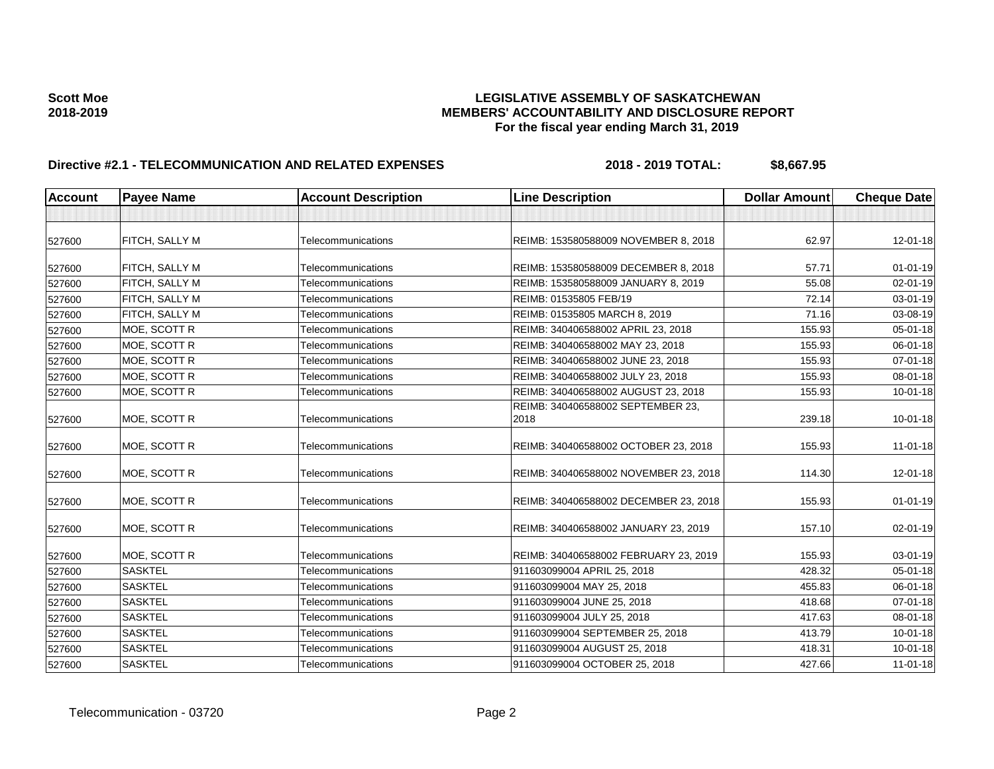| <b>Account</b> | <b>Payee Name</b>     | <b>Account Description</b> | <b>Line Description</b>                   | <b>Dollar Amount</b> | <b>Cheque Date</b> |
|----------------|-----------------------|----------------------------|-------------------------------------------|----------------------|--------------------|
|                |                       |                            |                                           |                      |                    |
| 527600         | <b>FITCH, SALLY M</b> | Telecommunications         | REIMB: 153580588009 NOVEMBER 8, 2018      | 62.97                | 12-01-18           |
| 527600         | <b>FITCH, SALLY M</b> | Telecommunications         | REIMB: 153580588009 DECEMBER 8, 2018      | 57.71                | $01 - 01 - 19$     |
| 527600         | <b>FITCH, SALLY M</b> | Telecommunications         | REIMB: 153580588009 JANUARY 8, 2019       | 55.08                | 02-01-19           |
| 527600         | FITCH, SALLY M        | Telecommunications         | REIMB: 01535805 FEB/19                    | 72.14                | 03-01-19           |
| 527600         | FITCH, SALLY M        | Telecommunications         | REIMB: 01535805 MARCH 8, 2019             | 71.16                | 03-08-19           |
| 527600         | MOE, SCOTT R          | Telecommunications         | REIMB: 340406588002 APRIL 23, 2018        | 155.93               | 05-01-18           |
| 527600         | MOE, SCOTT R          | Telecommunications         | REIMB: 340406588002 MAY 23, 2018          | 155.93               | 06-01-18           |
| 527600         | MOE, SCOTT R          | Telecommunications         | REIMB: 340406588002 JUNE 23, 2018         | 155.93               | 07-01-18           |
| 527600         | MOE, SCOTT R          | Telecommunications         | REIMB: 340406588002 JULY 23, 2018         | 155.93               | 08-01-18           |
| 527600         | MOE, SCOTT R          | Telecommunications         | REIMB: 340406588002 AUGUST 23, 2018       | 155.93               | $10 - 01 - 18$     |
| 527600         | MOE, SCOTT R          | Telecommunications         | REIMB: 340406588002 SEPTEMBER 23,<br>2018 | 239.18               | $10 - 01 - 18$     |
| 527600         | MOE, SCOTT R          | Telecommunications         | REIMB: 340406588002 OCTOBER 23, 2018      | 155.93               | $11-01-18$         |
| 527600         | MOE, SCOTT R          | Telecommunications         | REIMB: 340406588002 NOVEMBER 23, 2018     | 114.30               | 12-01-18           |
| 527600         | MOE, SCOTT R          | Telecommunications         | REIMB: 340406588002 DECEMBER 23, 2018     | 155.93               | $01 - 01 - 19$     |
| 527600         | MOE, SCOTT R          | Telecommunications         | REIMB: 340406588002 JANUARY 23, 2019      | 157.10               | 02-01-19           |
| 527600         | MOE, SCOTT R          | Telecommunications         | REIMB: 340406588002 FEBRUARY 23, 2019     | 155.93               | 03-01-19           |
| 527600         | <b>SASKTEL</b>        | Telecommunications         | 911603099004 APRIL 25, 2018               | 428.32               | $05 - 01 - 18$     |
| 527600         | <b>SASKTEL</b>        | Telecommunications         | 911603099004 MAY 25, 2018                 | 455.83               | 06-01-18           |
| 527600         | <b>SASKTEL</b>        | Telecommunications         | 911603099004 JUNE 25, 2018                | 418.68               | 07-01-18           |
| 527600         | <b>SASKTEL</b>        | Telecommunications         | 911603099004 JULY 25, 2018                | 417.63               | 08-01-18           |
| 527600         | <b>SASKTEL</b>        | Telecommunications         | 911603099004 SEPTEMBER 25, 2018           | 413.79               | $10 - 01 - 18$     |
| 527600         | <b>SASKTEL</b>        | Telecommunications         | 911603099004 AUGUST 25, 2018              | 418.31               | $10 - 01 - 18$     |
| 527600         | <b>SASKTEL</b>        | Telecommunications         | 911603099004 OCTOBER 25, 2018             | 427.66               | $11-01-18$         |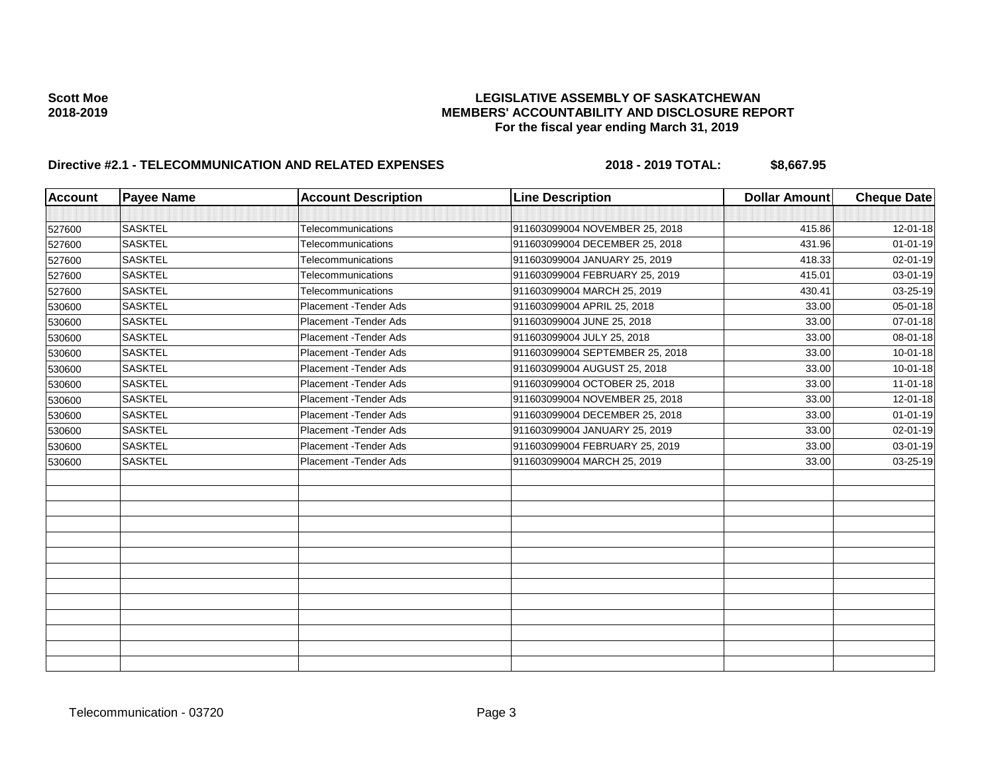| <b>Account</b> | <b>Payee Name</b> | <b>Account Description</b> | <b>Line Description</b>         | <b>Dollar Amount</b> | <b>Cheque Date</b> |
|----------------|-------------------|----------------------------|---------------------------------|----------------------|--------------------|
|                |                   |                            |                                 |                      |                    |
| 527600         | <b>SASKTEL</b>    | Telecommunications         | 911603099004 NOVEMBER 25, 2018  | 415.86               | $12 - 01 - 18$     |
| 527600         | <b>SASKTEL</b>    | Telecommunications         | 911603099004 DECEMBER 25, 2018  | 431.96               | $01 - 01 - 19$     |
| 527600         | <b>SASKTEL</b>    | Telecommunications         | 911603099004 JANUARY 25, 2019   | 418.33               | 02-01-19           |
| 527600         | <b>SASKTEL</b>    | Telecommunications         | 911603099004 FEBRUARY 25, 2019  | 415.01               | 03-01-19           |
| 527600         | <b>SASKTEL</b>    | Telecommunications         | 911603099004 MARCH 25, 2019     | 430.41               | 03-25-19           |
| 530600         | <b>SASKTEL</b>    | Placement - Tender Ads     | 911603099004 APRIL 25, 2018     | 33.00                | 05-01-18           |
| 530600         | <b>SASKTEL</b>    | Placement - Tender Ads     | 911603099004 JUNE 25, 2018      | 33.00                | $07 - 01 - 18$     |
| 530600         | <b>SASKTEL</b>    | Placement - Tender Ads     | 911603099004 JULY 25, 2018      | 33.00                | 08-01-18           |
| 530600         | <b>SASKTEL</b>    | Placement - Tender Ads     | 911603099004 SEPTEMBER 25, 2018 | 33.00                | $10 - 01 - 18$     |
| 530600         | <b>SASKTEL</b>    | Placement - Tender Ads     | 911603099004 AUGUST 25, 2018    | 33.00                | $10 - 01 - 18$     |
| 530600         | <b>SASKTEL</b>    | Placement - Tender Ads     | 911603099004 OCTOBER 25, 2018   | 33.00                | $11 - 01 - 18$     |
| 530600         | <b>SASKTEL</b>    | Placement - Tender Ads     | 911603099004 NOVEMBER 25, 2018  | 33.00                | 12-01-18           |
| 530600         | <b>SASKTEL</b>    | Placement - Tender Ads     | 911603099004 DECEMBER 25, 2018  | 33.00                | $01 - 01 - 19$     |
| 530600         | <b>SASKTEL</b>    | Placement - Tender Ads     | 911603099004 JANUARY 25, 2019   | 33.00                | $02 - 01 - 19$     |
| 530600         | <b>SASKTEL</b>    | Placement - Tender Ads     | 911603099004 FEBRUARY 25, 2019  | 33.00                | 03-01-19           |
| 530600         | <b>SASKTEL</b>    | Placement - Tender Ads     | 911603099004 MARCH 25, 2019     | 33.00                | 03-25-19           |
|                |                   |                            |                                 |                      |                    |
|                |                   |                            |                                 |                      |                    |
|                |                   |                            |                                 |                      |                    |
|                |                   |                            |                                 |                      |                    |
|                |                   |                            |                                 |                      |                    |
|                |                   |                            |                                 |                      |                    |
|                |                   |                            |                                 |                      |                    |
|                |                   |                            |                                 |                      |                    |
|                |                   |                            |                                 |                      |                    |
|                |                   |                            |                                 |                      |                    |
|                |                   |                            |                                 |                      |                    |
|                |                   |                            |                                 |                      |                    |
|                |                   |                            |                                 |                      |                    |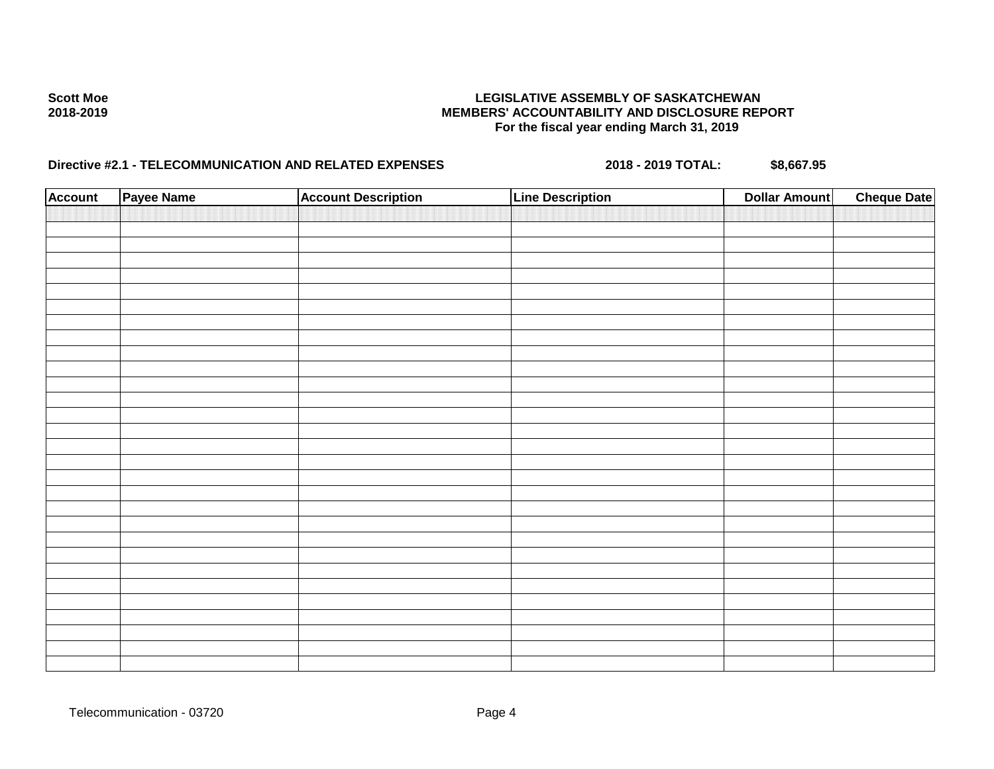| <b>Account</b> | Payee Name | <b>Account Description</b> | <b>Line Description</b> | <b>Dollar Amount</b> | <b>Cheque Date</b> |
|----------------|------------|----------------------------|-------------------------|----------------------|--------------------|
|                |            |                            |                         |                      |                    |
|                |            |                            |                         |                      |                    |
|                |            |                            |                         |                      |                    |
|                |            |                            |                         |                      |                    |
|                |            |                            |                         |                      |                    |
|                |            |                            |                         |                      |                    |
|                |            |                            |                         |                      |                    |
|                |            |                            |                         |                      |                    |
|                |            |                            |                         |                      |                    |
|                |            |                            |                         |                      |                    |
|                |            |                            |                         |                      |                    |
|                |            |                            |                         |                      |                    |
|                |            |                            |                         |                      |                    |
|                |            |                            |                         |                      |                    |
|                |            |                            |                         |                      |                    |
|                |            |                            |                         |                      |                    |
|                |            |                            |                         |                      |                    |
|                |            |                            |                         |                      |                    |
|                |            |                            |                         |                      |                    |
|                |            |                            |                         |                      |                    |
|                |            |                            |                         |                      |                    |
|                |            |                            |                         |                      |                    |
|                |            |                            |                         |                      |                    |
|                |            |                            |                         |                      |                    |
|                |            |                            |                         |                      |                    |
|                |            |                            |                         |                      |                    |
|                |            |                            |                         |                      |                    |
|                |            |                            |                         |                      |                    |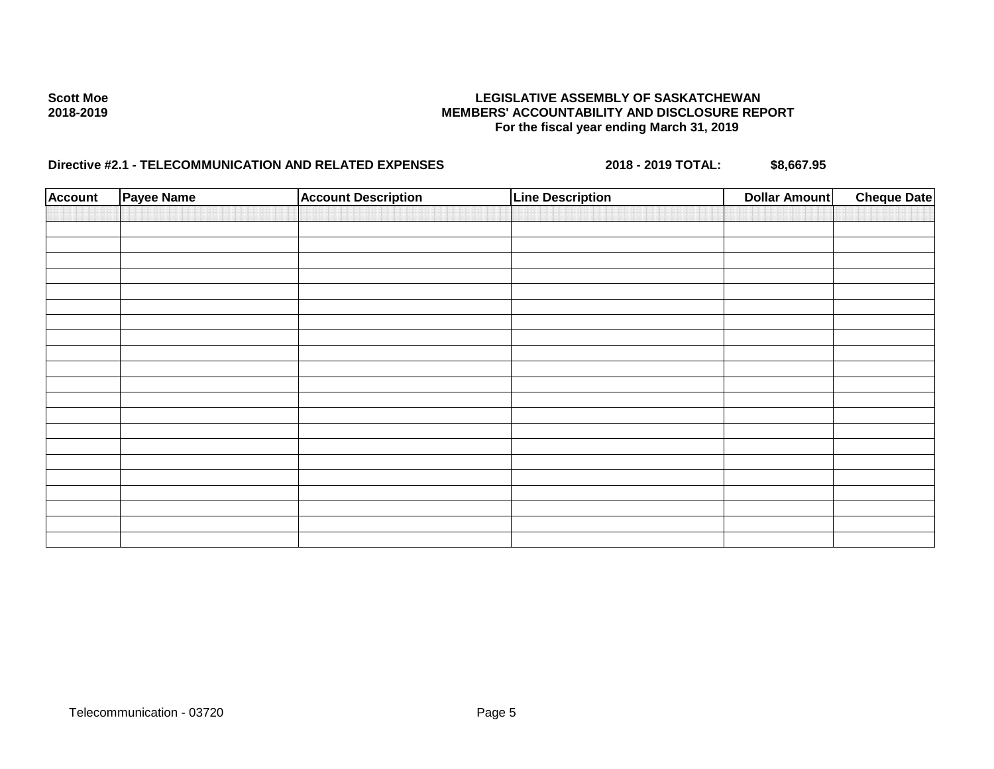| <b>Account</b> | Payee Name | <b>Account Description</b> | <b>Line Description</b> | <b>Dollar Amount</b> | <b>Cheque Date</b> |
|----------------|------------|----------------------------|-------------------------|----------------------|--------------------|
|                |            |                            |                         |                      |                    |
|                |            |                            |                         |                      |                    |
|                |            |                            |                         |                      |                    |
|                |            |                            |                         |                      |                    |
|                |            |                            |                         |                      |                    |
|                |            |                            |                         |                      |                    |
|                |            |                            |                         |                      |                    |
|                |            |                            |                         |                      |                    |
|                |            |                            |                         |                      |                    |
|                |            |                            |                         |                      |                    |
|                |            |                            |                         |                      |                    |
|                |            |                            |                         |                      |                    |
|                |            |                            |                         |                      |                    |
|                |            |                            |                         |                      |                    |
|                |            |                            |                         |                      |                    |
|                |            |                            |                         |                      |                    |
|                |            |                            |                         |                      |                    |
|                |            |                            |                         |                      |                    |
|                |            |                            |                         |                      |                    |
|                |            |                            |                         |                      |                    |
|                |            |                            |                         |                      |                    |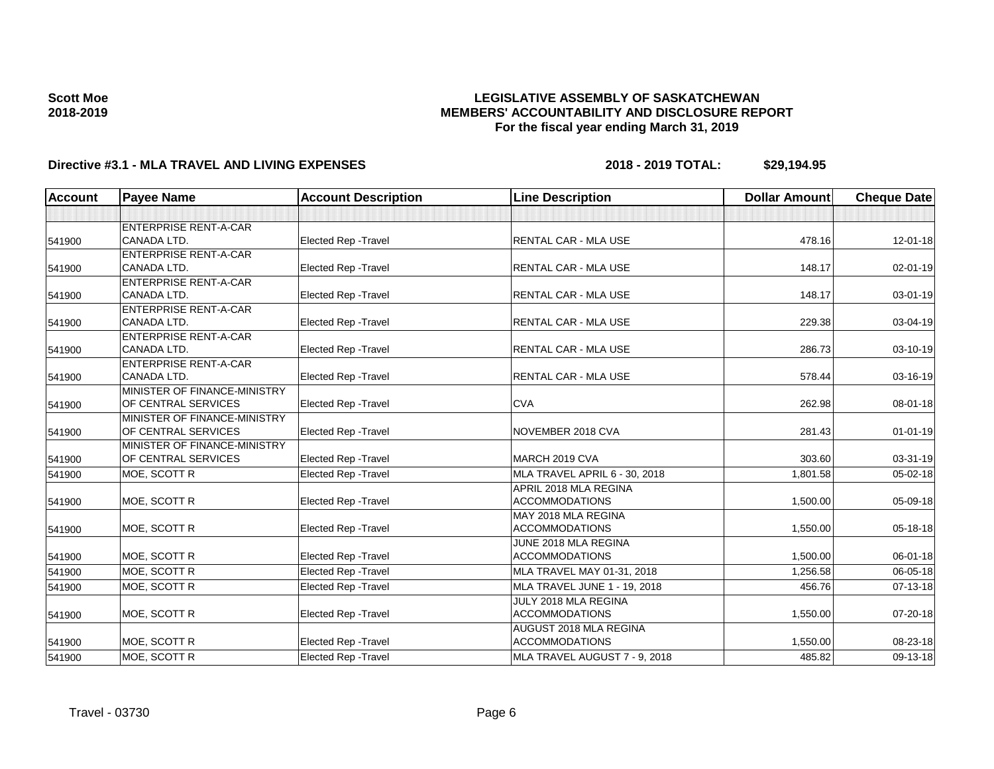### **LEGISLATIVE ASSEMBLY OF SASKATCHEWAN MEMBERS' ACCOUNTABILITY AND DISCLOSURE REPORT For the fiscal year ending March 31, 2019**

| <b>Account</b> | <b>Payee Name</b>            | <b>Account Description</b>  | <b>Line Description</b>       | <b>Dollar Amount</b> | <b>Cheque Date</b> |
|----------------|------------------------------|-----------------------------|-------------------------------|----------------------|--------------------|
|                |                              |                             |                               |                      |                    |
|                | <b>ENTERPRISE RENT-A-CAR</b> |                             |                               |                      |                    |
| 541900         | CANADA LTD.                  | <b>Elected Rep - Travel</b> | RENTAL CAR - MLA USE          | 478.16               | 12-01-18           |
|                | <b>ENTERPRISE RENT-A-CAR</b> |                             |                               |                      |                    |
| 541900         | CANADA LTD.                  | Elected Rep - Travel        | RENTAL CAR - MLA USE          | 148.17               | $02 - 01 - 19$     |
|                | <b>ENTERPRISE RENT-A-CAR</b> |                             |                               |                      |                    |
| 541900         | CANADA LTD.                  | Elected Rep - Travel        | RENTAL CAR - MLA USE          | 148.17               | 03-01-19           |
|                | <b>ENTERPRISE RENT-A-CAR</b> |                             |                               |                      |                    |
| 541900         | CANADA LTD.                  | Elected Rep - Travel        | RENTAL CAR - MLA USE          | 229.38               | 03-04-19           |
|                | <b>ENTERPRISE RENT-A-CAR</b> |                             |                               |                      |                    |
| 541900         | CANADA LTD.                  | <b>Elected Rep - Travel</b> | <b>RENTAL CAR - MLA USE</b>   | 286.73               | 03-10-19           |
|                | <b>ENTERPRISE RENT-A-CAR</b> |                             |                               |                      |                    |
| 541900         | <b>CANADA LTD.</b>           | <b>Elected Rep - Travel</b> | <b>RENTAL CAR - MLA USE</b>   | 578.44               | 03-16-19           |
|                | MINISTER OF FINANCE-MINISTRY |                             |                               |                      |                    |
| 541900         | OF CENTRAL SERVICES          | <b>Elected Rep - Travel</b> | <b>CVA</b>                    | 262.98               | 08-01-18           |
|                | MINISTER OF FINANCE-MINISTRY |                             |                               |                      |                    |
| 541900         | OF CENTRAL SERVICES          | Elected Rep - Travel        | NOVEMBER 2018 CVA             | 281.43               | $01 - 01 - 19$     |
|                | MINISTER OF FINANCE-MINISTRY |                             |                               |                      |                    |
| 541900         | OF CENTRAL SERVICES          | <b>Elected Rep - Travel</b> | MARCH 2019 CVA                | 303.60               | 03-31-19           |
| 541900         | MOE, SCOTT R                 | <b>Elected Rep - Travel</b> | MLA TRAVEL APRIL 6 - 30, 2018 | 1,801.58             | 05-02-18           |
|                |                              |                             | APRIL 2018 MLA REGINA         |                      |                    |
| 541900         | MOE, SCOTT R                 | <b>Elected Rep - Travel</b> | ACCOMMODATIONS                | 1,500.00             | 05-09-18           |
|                |                              |                             | MAY 2018 MLA REGINA           |                      |                    |
| 541900         | MOE, SCOTT R                 | Elected Rep - Travel        | <b>ACCOMMODATIONS</b>         | 1,550.00             | 05-18-18           |
|                |                              |                             | JUNE 2018 MLA REGINA          |                      |                    |
| 541900         | MOE, SCOTT R                 | <b>Elected Rep - Travel</b> | <b>ACCOMMODATIONS</b>         | 1,500.00             | 06-01-18           |
| 541900         | MOE, SCOTT R                 | <b>Elected Rep - Travel</b> | MLA TRAVEL MAY 01-31, 2018    | 1,256.58             | 06-05-18           |
| 541900         | MOE, SCOTT R                 | <b>Elected Rep - Travel</b> | MLA TRAVEL JUNE 1 - 19, 2018  | 456.76               | 07-13-18           |
|                |                              |                             | JULY 2018 MLA REGINA          |                      |                    |
| 541900         | MOE, SCOTT R                 | <b>Elected Rep - Travel</b> | <b>ACCOMMODATIONS</b>         | 1,550.00             | 07-20-18           |
|                |                              |                             | AUGUST 2018 MLA REGINA        |                      |                    |
| 541900         | MOE, SCOTT R                 | <b>Elected Rep - Travel</b> | <b>ACCOMMODATIONS</b>         | 1,550.00             | 08-23-18           |
| 541900         | MOE, SCOTT R                 | Elected Rep - Travel        | MLA TRAVEL AUGUST 7 - 9, 2018 | 485.82               | $09-13-18$         |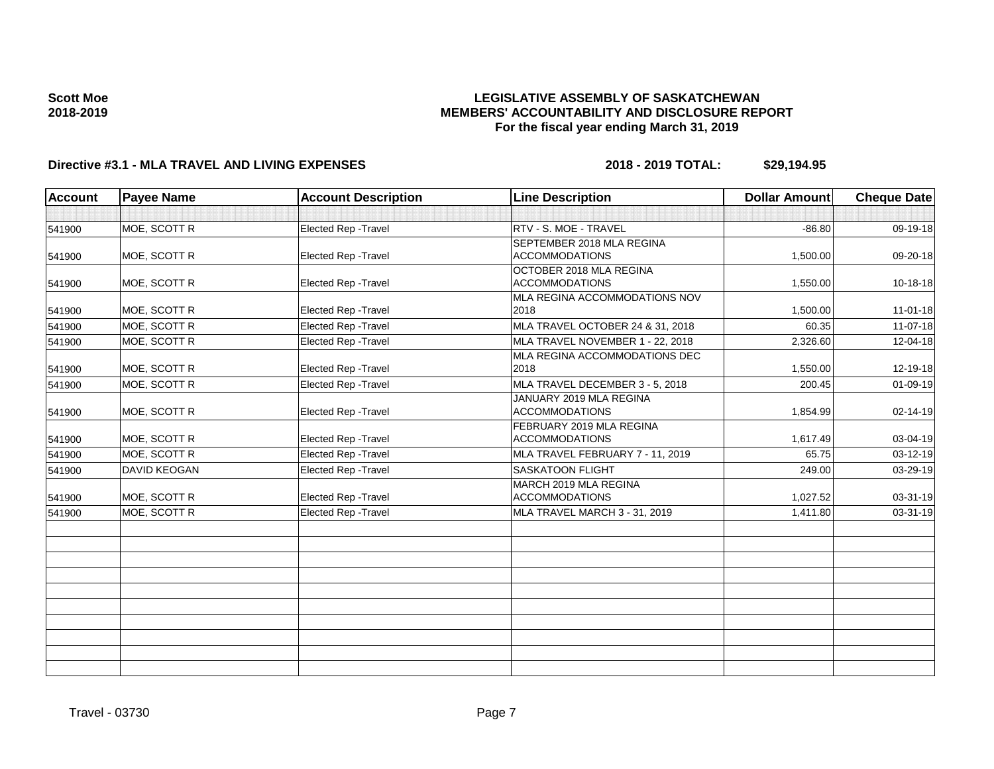### **LEGISLATIVE ASSEMBLY OF SASKATCHEWAN MEMBERS' ACCOUNTABILITY AND DISCLOSURE REPORT For the fiscal year ending March 31, 2019**

| <b>Account</b> | <b>Payee Name</b>   | <b>Account Description</b>  | <b>Line Description</b>                            | <b>Dollar Amount</b> | <b>Cheque Date</b> |
|----------------|---------------------|-----------------------------|----------------------------------------------------|----------------------|--------------------|
|                |                     |                             |                                                    |                      |                    |
| 541900         | MOE, SCOTT R        | Elected Rep - Travel        | RTV - S. MOE - TRAVEL                              | $-86.80$             | 09-19-18           |
| 541900         | MOE, SCOTT R        | <b>Elected Rep - Travel</b> | SEPTEMBER 2018 MLA REGINA<br><b>ACCOMMODATIONS</b> | 1,500.00             | $09 - 20 - 18$     |
| 541900         | MOE, SCOTT R        | Elected Rep - Travel        | OCTOBER 2018 MLA REGINA<br><b>ACCOMMODATIONS</b>   | 1,550.00             | $10-18-18$         |
| 541900         | MOE, SCOTT R        | Elected Rep - Travel        | MLA REGINA ACCOMMODATIONS NOV<br>2018              | 1,500.00             | $11 - 01 - 18$     |
| 541900         | MOE, SCOTT R        | Elected Rep - Travel        | MLA TRAVEL OCTOBER 24 & 31, 2018                   | 60.35                | $11 - 07 - 18$     |
| 541900         | MOE, SCOTT R        | Elected Rep - Travel        | MLA TRAVEL NOVEMBER 1 - 22, 2018                   | 2,326.60             | 12-04-18           |
| 541900         | MOE, SCOTT R        | Elected Rep - Travel        | <b>MLA REGINA ACCOMMODATIONS DEC</b><br>2018       | 1,550.00             | 12-19-18           |
| 541900         | MOE, SCOTT R        | <b>Elected Rep - Travel</b> | MLA TRAVEL DECEMBER 3 - 5, 2018                    | 200.45               | 01-09-19           |
| 541900         | MOE, SCOTT R        | Elected Rep - Travel        | JANUARY 2019 MLA REGINA<br><b>ACCOMMODATIONS</b>   | 1,854.99             | 02-14-19           |
| 541900         | MOE, SCOTT R        | Elected Rep - Travel        | FEBRUARY 2019 MLA REGINA<br><b>ACCOMMODATIONS</b>  | 1,617.49             | 03-04-19           |
| 541900         | MOE, SCOTT R        | Elected Rep - Travel        | MLA TRAVEL FEBRUARY 7 - 11, 2019                   | 65.75                | $03 - 12 - 19$     |
| 541900         | <b>DAVID KEOGAN</b> | Elected Rep - Travel        | <b>SASKATOON FLIGHT</b>                            | 249.00               | 03-29-19           |
| 541900         | MOE, SCOTT R        | <b>Elected Rep - Travel</b> | MARCH 2019 MLA REGINA<br><b>ACCOMMODATIONS</b>     | 1,027.52             | 03-31-19           |
| 541900         | MOE, SCOTT R        | Elected Rep - Travel        | MLA TRAVEL MARCH 3 - 31, 2019                      | 1,411.80             | 03-31-19           |
|                |                     |                             |                                                    |                      |                    |
|                |                     |                             |                                                    |                      |                    |
|                |                     |                             |                                                    |                      |                    |
|                |                     |                             |                                                    |                      |                    |
|                |                     |                             |                                                    |                      |                    |
|                |                     |                             |                                                    |                      |                    |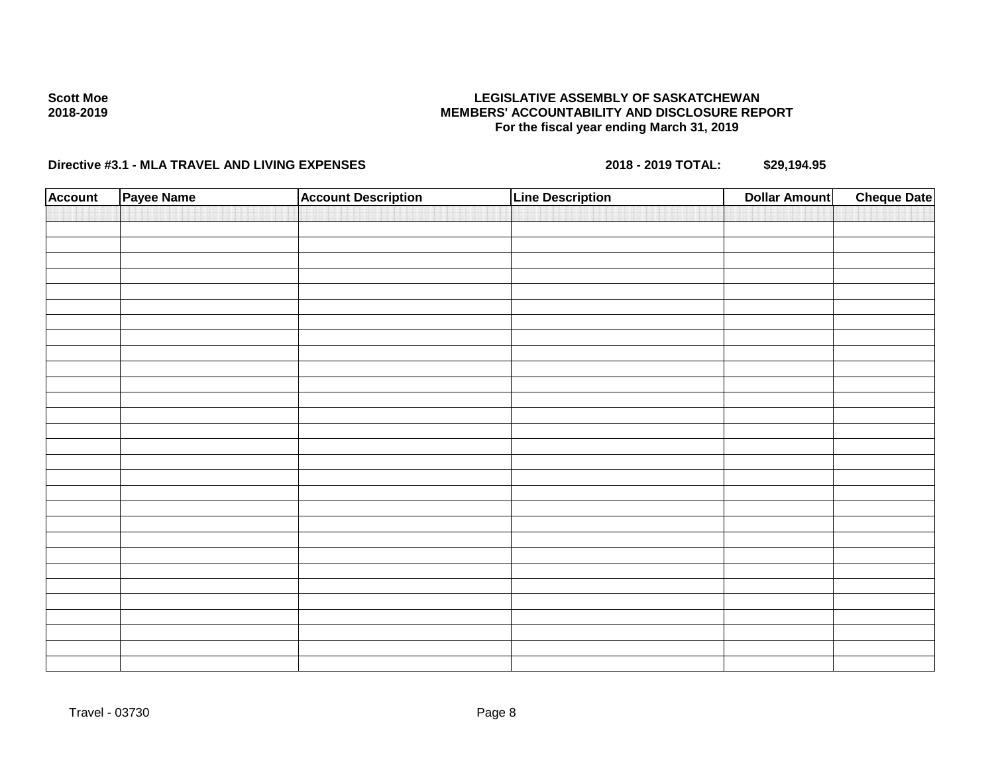### **LEGISLATIVE ASSEMBLY OF SASKATCHEWAN MEMBERS' ACCOUNTABILITY AND DISCLOSURE REPORT For the fiscal year ending March 31, 2019**

| <b>Account</b> | Payee Name | <b>Account Description</b> | <b>Line Description</b> | <b>Cheque Date</b><br><b>Dollar Amount</b> |  |
|----------------|------------|----------------------------|-------------------------|--------------------------------------------|--|
|                |            |                            |                         |                                            |  |
|                |            |                            |                         |                                            |  |
|                |            |                            |                         |                                            |  |
|                |            |                            |                         |                                            |  |
|                |            |                            |                         |                                            |  |
|                |            |                            |                         |                                            |  |
|                |            |                            |                         |                                            |  |
|                |            |                            |                         |                                            |  |
|                |            |                            |                         |                                            |  |
|                |            |                            |                         |                                            |  |
|                |            |                            |                         |                                            |  |
|                |            |                            |                         |                                            |  |
|                |            |                            |                         |                                            |  |
|                |            |                            |                         |                                            |  |
|                |            |                            |                         |                                            |  |
|                |            |                            |                         |                                            |  |
|                |            |                            |                         |                                            |  |
|                |            |                            |                         |                                            |  |
|                |            |                            |                         |                                            |  |
|                |            |                            |                         |                                            |  |
|                |            |                            |                         |                                            |  |
|                |            |                            |                         |                                            |  |
|                |            |                            |                         |                                            |  |
|                |            |                            |                         |                                            |  |
|                |            |                            |                         |                                            |  |
|                |            |                            |                         |                                            |  |
|                |            |                            |                         |                                            |  |
|                |            |                            |                         |                                            |  |
|                |            |                            |                         |                                            |  |
|                |            |                            |                         |                                            |  |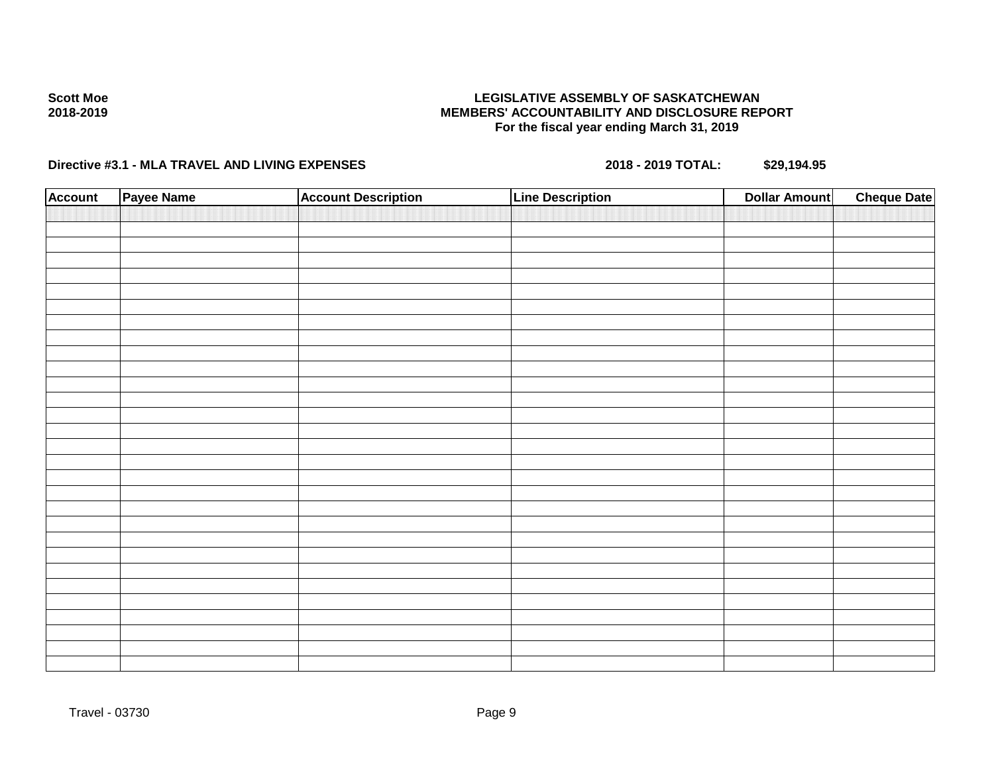### **LEGISLATIVE ASSEMBLY OF SASKATCHEWAN MEMBERS' ACCOUNTABILITY AND DISCLOSURE REPORT For the fiscal year ending March 31, 2019**

| <b>Account</b> | Payee Name | <b>Account Description</b> | <b>Line Description</b> | <b>Dollar Amount</b> | <b>Cheque Date</b> |
|----------------|------------|----------------------------|-------------------------|----------------------|--------------------|
|                |            |                            |                         |                      |                    |
|                |            |                            |                         |                      |                    |
|                |            |                            |                         |                      |                    |
|                |            |                            |                         |                      |                    |
|                |            |                            |                         |                      |                    |
|                |            |                            |                         |                      |                    |
|                |            |                            |                         |                      |                    |
|                |            |                            |                         |                      |                    |
|                |            |                            |                         |                      |                    |
|                |            |                            |                         |                      |                    |
|                |            |                            |                         |                      |                    |
|                |            |                            |                         |                      |                    |
|                |            |                            |                         |                      |                    |
|                |            |                            |                         |                      |                    |
|                |            |                            |                         |                      |                    |
|                |            |                            |                         |                      |                    |
|                |            |                            |                         |                      |                    |
|                |            |                            |                         |                      |                    |
|                |            |                            |                         |                      |                    |
|                |            |                            |                         |                      |                    |
|                |            |                            |                         |                      |                    |
|                |            |                            |                         |                      |                    |
|                |            |                            |                         |                      |                    |
|                |            |                            |                         |                      |                    |
|                |            |                            |                         |                      |                    |
|                |            |                            |                         |                      |                    |
|                |            |                            |                         |                      |                    |
|                |            |                            |                         |                      |                    |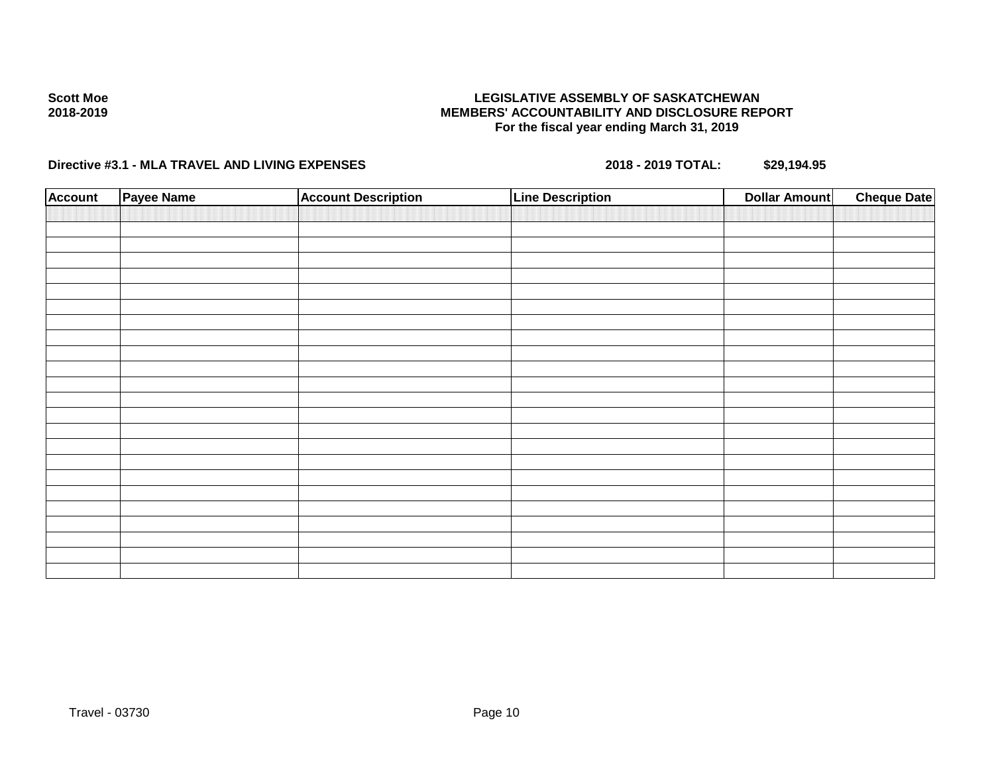#### **LEGISLATIVE ASSEMBLY OF SASKATCHEWAN MEMBERS' ACCOUNTABILITY AND DISCLOSURE REPORT For the fiscal year ending March 31, 2019**

| <b>Account</b> | Payee Name | <b>Account Description</b> | <b>Line Description</b> | <b>Dollar Amount</b> | <b>Cheque Date</b> |
|----------------|------------|----------------------------|-------------------------|----------------------|--------------------|
|                |            |                            |                         |                      |                    |
|                |            |                            |                         |                      |                    |
|                |            |                            |                         |                      |                    |
|                |            |                            |                         |                      |                    |
|                |            |                            |                         |                      |                    |
|                |            |                            |                         |                      |                    |
|                |            |                            |                         |                      |                    |
|                |            |                            |                         |                      |                    |
|                |            |                            |                         |                      |                    |
|                |            |                            |                         |                      |                    |
|                |            |                            |                         |                      |                    |
|                |            |                            |                         |                      |                    |
|                |            |                            |                         |                      |                    |
|                |            |                            |                         |                      |                    |
|                |            |                            |                         |                      |                    |
|                |            |                            |                         |                      |                    |
|                |            |                            |                         |                      |                    |
|                |            |                            |                         |                      |                    |
|                |            |                            |                         |                      |                    |
|                |            |                            |                         |                      |                    |
|                |            |                            |                         |                      |                    |
|                |            |                            |                         |                      |                    |
|                |            |                            |                         |                      |                    |
|                |            |                            |                         |                      |                    |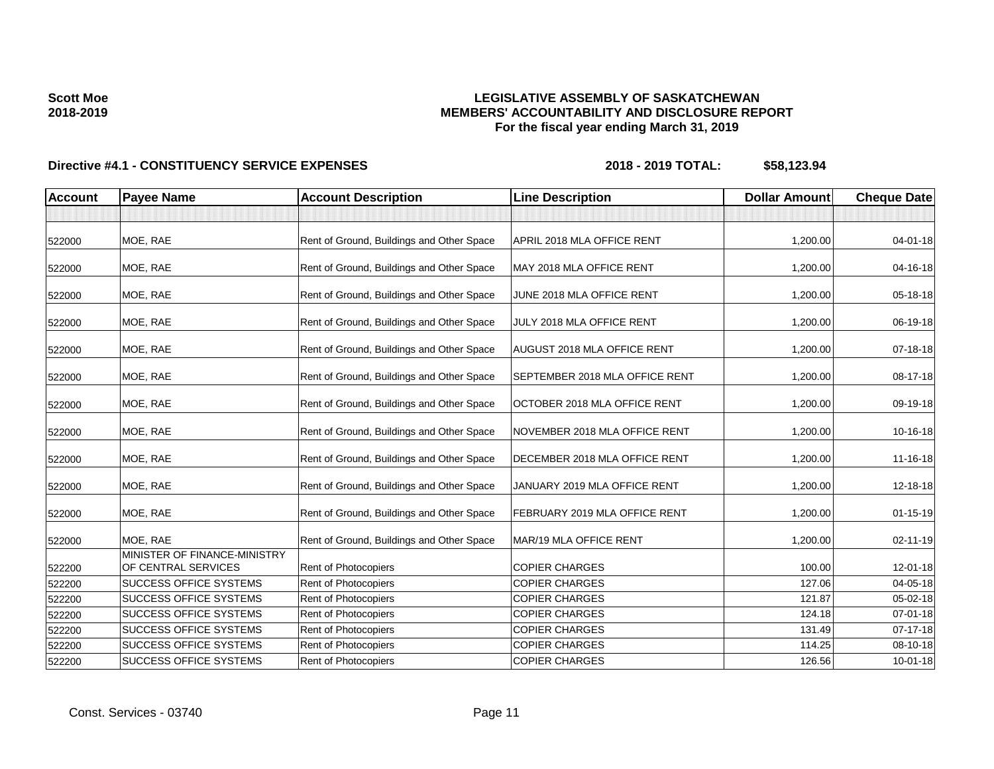### **LEGISLATIVE ASSEMBLY OF SASKATCHEWAN MEMBERS' ACCOUNTABILITY AND DISCLOSURE REPORT For the fiscal year ending March 31, 2019**

| <b>Account</b> | <b>Payee Name</b>                                   | <b>Account Description</b>                | <b>Line Description</b>        | <b>Dollar Amount</b> | <b>Cheque Date</b> |
|----------------|-----------------------------------------------------|-------------------------------------------|--------------------------------|----------------------|--------------------|
|                |                                                     |                                           |                                |                      |                    |
| 522000         | MOE. RAE                                            | Rent of Ground, Buildings and Other Space | APRIL 2018 MLA OFFICE RENT     | 1.200.00             | $04 - 01 - 18$     |
| 522000         | MOE, RAE                                            | Rent of Ground, Buildings and Other Space | MAY 2018 MLA OFFICE RENT       | 1,200.00             | 04-16-18           |
| 522000         | MOE, RAE                                            | Rent of Ground, Buildings and Other Space | JUNE 2018 MLA OFFICE RENT      | 1,200.00             | 05-18-18           |
| 522000         | MOE, RAE                                            | Rent of Ground, Buildings and Other Space | JULY 2018 MLA OFFICE RENT      | 1,200.00             | 06-19-18           |
| 522000         | MOE, RAE                                            | Rent of Ground, Buildings and Other Space | AUGUST 2018 MLA OFFICE RENT    | 1,200.00             | 07-18-18           |
| 522000         | MOE, RAE                                            | Rent of Ground, Buildings and Other Space | SEPTEMBER 2018 MLA OFFICE RENT | 1,200.00             | 08-17-18           |
| 522000         | MOE, RAE                                            | Rent of Ground, Buildings and Other Space | OCTOBER 2018 MLA OFFICE RENT   | 1,200.00             | 09-19-18           |
| 522000         | MOE, RAE                                            | Rent of Ground, Buildings and Other Space | NOVEMBER 2018 MLA OFFICE RENT  | 1,200.00             | 10-16-18           |
| 522000         | MOE, RAE                                            | Rent of Ground, Buildings and Other Space | DECEMBER 2018 MLA OFFICE RENT  | 1,200.00             | 11-16-18           |
| 522000         | MOE, RAE                                            | Rent of Ground, Buildings and Other Space | JANUARY 2019 MLA OFFICE RENT   | 1,200.00             | 12-18-18           |
| 522000         | MOE, RAE                                            | Rent of Ground, Buildings and Other Space | FEBRUARY 2019 MLA OFFICE RENT  | 1,200.00             | $01 - 15 - 19$     |
| 522000         | MOE, RAE                                            | Rent of Ground, Buildings and Other Space | MAR/19 MLA OFFICE RENT         | 1,200.00             | 02-11-19           |
| 522200         | MINISTER OF FINANCE-MINISTRY<br>OF CENTRAL SERVICES | Rent of Photocopiers                      | <b>COPIER CHARGES</b>          | 100.00               | 12-01-18           |
| 522200         | <b>SUCCESS OFFICE SYSTEMS</b>                       | Rent of Photocopiers                      | <b>COPIER CHARGES</b>          | 127.06               | 04-05-18           |
| 522200         | <b>SUCCESS OFFICE SYSTEMS</b>                       | Rent of Photocopiers                      | <b>COPIER CHARGES</b>          | 121.87               | 05-02-18           |
| 522200         | <b>SUCCESS OFFICE SYSTEMS</b>                       | <b>Rent of Photocopiers</b>               | <b>COPIER CHARGES</b>          | 124.18               | $07 - 01 - 18$     |
| 522200         | <b>SUCCESS OFFICE SYSTEMS</b>                       | Rent of Photocopiers                      | <b>COPIER CHARGES</b>          | 131.49               | $07-17-18$         |
| 522200         | <b>SUCCESS OFFICE SYSTEMS</b>                       | <b>Rent of Photocopiers</b>               | <b>COPIER CHARGES</b>          | 114.25               | 08-10-18           |
| 522200         | <b>SUCCESS OFFICE SYSTEMS</b>                       | Rent of Photocopiers                      | <b>COPIER CHARGES</b>          | 126.56               | $10 - 01 - 18$     |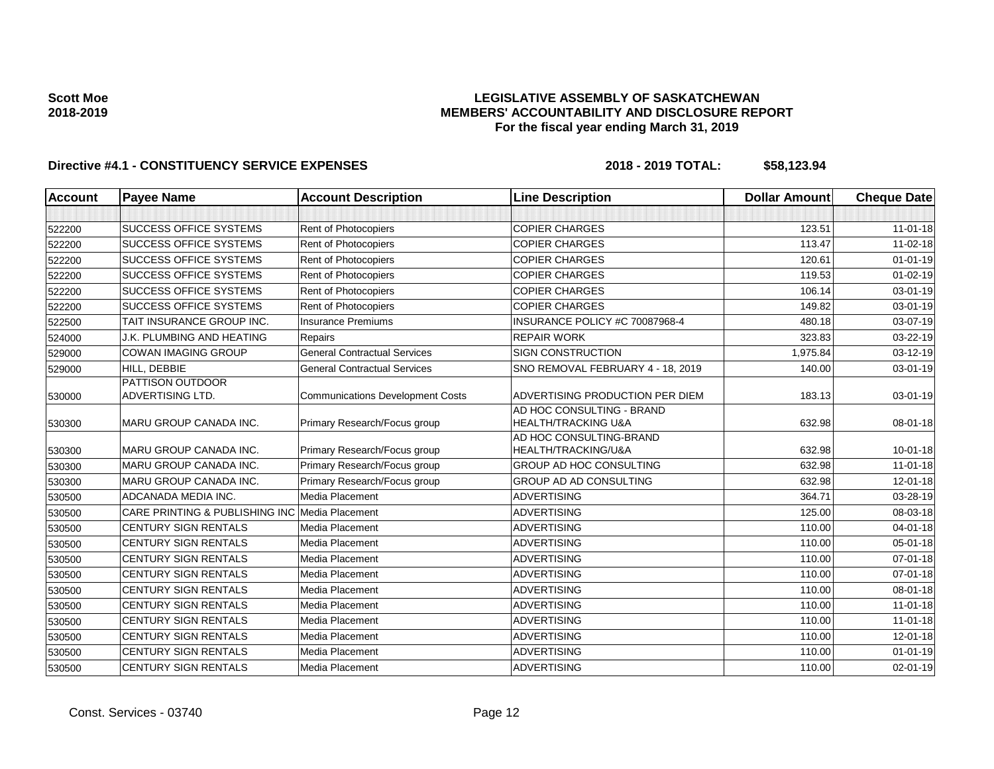### **LEGISLATIVE ASSEMBLY OF SASKATCHEWAN MEMBERS' ACCOUNTABILITY AND DISCLOSURE REPORT For the fiscal year ending March 31, 2019**

| <b>Account</b> | <b>Payee Name</b>                              | <b>Account Description</b>              | <b>Line Description</b>                                     | <b>Dollar Amount</b> | <b>Cheque Date</b> |
|----------------|------------------------------------------------|-----------------------------------------|-------------------------------------------------------------|----------------------|--------------------|
|                |                                                |                                         |                                                             |                      |                    |
| 522200         | <b>SUCCESS OFFICE SYSTEMS</b>                  | <b>Rent of Photocopiers</b>             | <b>COPIER CHARGES</b>                                       | 123.51               | $11 - 01 - 18$     |
| 522200         | <b>SUCCESS OFFICE SYSTEMS</b>                  | Rent of Photocopiers                    | <b>COPIER CHARGES</b>                                       | 113.47               | $11-02-18$         |
| 522200         | <b>SUCCESS OFFICE SYSTEMS</b>                  | Rent of Photocopiers                    | <b>COPIER CHARGES</b>                                       | 120.61               | $01 - 01 - 19$     |
| 522200         | <b>SUCCESS OFFICE SYSTEMS</b>                  | <b>Rent of Photocopiers</b>             | <b>COPIER CHARGES</b>                                       | 119.53               | $01 - 02 - 19$     |
| 522200         | <b>SUCCESS OFFICE SYSTEMS</b>                  | Rent of Photocopiers                    | <b>COPIER CHARGES</b>                                       | 106.14               | 03-01-19           |
| 522200         | <b>SUCCESS OFFICE SYSTEMS</b>                  | Rent of Photocopiers                    | <b>COPIER CHARGES</b>                                       | 149.82               | 03-01-19           |
| 522500         | TAIT INSURANCE GROUP INC.                      | <b>Insurance Premiums</b>               | INSURANCE POLICY #C 70087968-4                              | 480.18               | 03-07-19           |
| 524000         | <b>J.K. PLUMBING AND HEATING</b>               | Repairs                                 | <b>REPAIR WORK</b>                                          | 323.83               | 03-22-19           |
| 529000         | <b>COWAN IMAGING GROUP</b>                     | <b>General Contractual Services</b>     | <b>SIGN CONSTRUCTION</b>                                    | 1,975.84             | 03-12-19           |
| 529000         | HILL, DEBBIE                                   | <b>General Contractual Services</b>     | SNO REMOVAL FEBRUARY 4 - 18, 2019                           | 140.00               | 03-01-19           |
| 530000         | PATTISON OUTDOOR<br>ADVERTISING LTD.           | <b>Communications Development Costs</b> | ADVERTISING PRODUCTION PER DIEM                             | 183.13               | 03-01-19           |
| 530300         | <b>MARU GROUP CANADA INC.</b>                  | Primary Research/Focus group            | AD HOC CONSULTING - BRAND<br><b>HEALTH/TRACKING U&amp;A</b> | 632.98               | 08-01-18           |
| 530300         | MARU GROUP CANADA INC.                         | Primary Research/Focus group            | AD HOC CONSULTING-BRAND<br>HEALTH/TRACKING/U&A              | 632.98               | $10 - 01 - 18$     |
| 530300         | MARU GROUP CANADA INC.                         | Primary Research/Focus group            | <b>GROUP AD HOC CONSULTING</b>                              | 632.98               | $11 - 01 - 18$     |
| 530300         | <b>MARU GROUP CANADA INC.</b>                  | Primary Research/Focus group            | <b>GROUP AD AD CONSULTING</b>                               | 632.98               | 12-01-18           |
| 530500         | ADCANADA MEDIA INC.                            | Media Placement                         | <b>ADVERTISING</b>                                          | 364.71               | 03-28-19           |
| 530500         | CARE PRINTING & PUBLISHING INC Media Placement |                                         | <b>ADVERTISING</b>                                          | 125.00               | 08-03-18           |
| 530500         | <b>CENTURY SIGN RENTALS</b>                    | Media Placement                         | <b>ADVERTISING</b>                                          | 110.00               | 04-01-18           |
| 530500         | <b>CENTURY SIGN RENTALS</b>                    | Media Placement                         | <b>ADVERTISING</b>                                          | 110.00               | 05-01-18           |
| 530500         | <b>CENTURY SIGN RENTALS</b>                    | Media Placement                         | <b>ADVERTISING</b>                                          | 110.00               | $07 - 01 - 18$     |
| 530500         | <b>CENTURY SIGN RENTALS</b>                    | Media Placement                         | <b>ADVERTISING</b>                                          | 110.00               | 07-01-18           |
| 530500         | <b>CENTURY SIGN RENTALS</b>                    | Media Placement                         | <b>ADVERTISING</b>                                          | 110.00               | 08-01-18           |
| 530500         | <b>CENTURY SIGN RENTALS</b>                    | Media Placement                         | <b>ADVERTISING</b>                                          | 110.00               | $11-01-18$         |
| 530500         | <b>CENTURY SIGN RENTALS</b>                    | Media Placement                         | <b>ADVERTISING</b>                                          | 110.00               | $11-01-18$         |
| 530500         | <b>CENTURY SIGN RENTALS</b>                    | Media Placement                         | <b>ADVERTISING</b>                                          | 110.00               | 12-01-18           |
| 530500         | <b>CENTURY SIGN RENTALS</b>                    | Media Placement                         | <b>ADVERTISING</b>                                          | 110.00               | $01 - 01 - 19$     |
| 530500         | <b>CENTURY SIGN RENTALS</b>                    | Media Placement                         | <b>ADVERTISING</b>                                          | 110.00               | $02 - 01 - 19$     |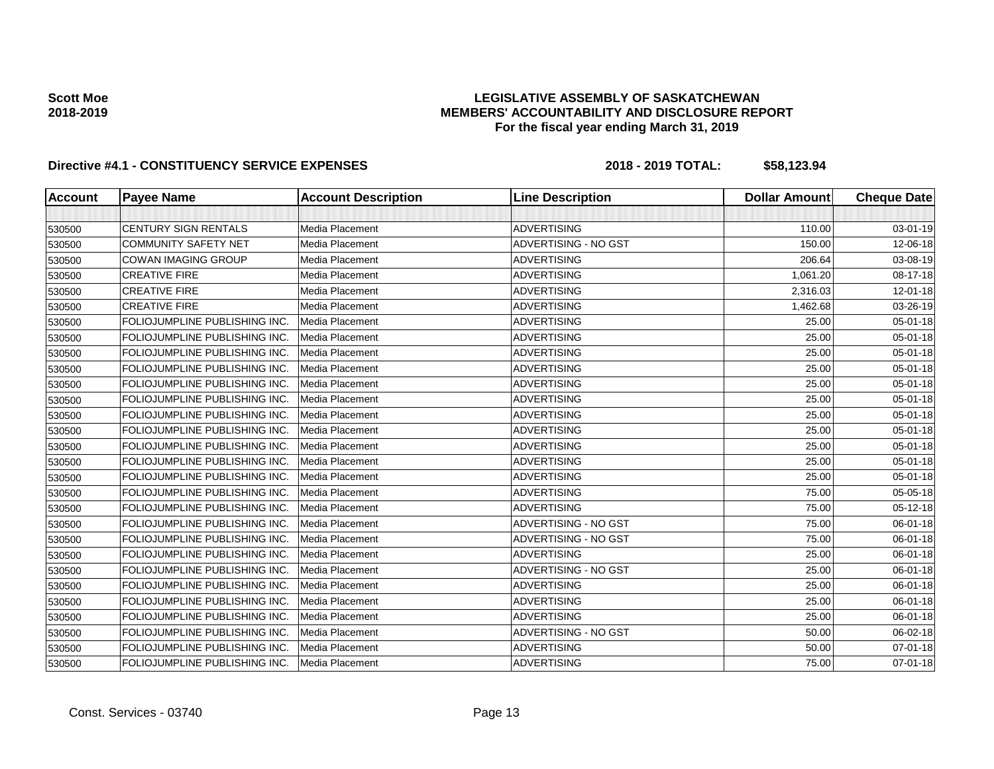### **LEGISLATIVE ASSEMBLY OF SASKATCHEWAN MEMBERS' ACCOUNTABILITY AND DISCLOSURE REPORT For the fiscal year ending March 31, 2019**

| <b>Account</b> | <b>Payee Name</b>                    | <b>Account Description</b> | <b>Line Description</b>     | <b>Dollar Amount</b> | <b>Cheque Date</b> |
|----------------|--------------------------------------|----------------------------|-----------------------------|----------------------|--------------------|
|                |                                      |                            |                             |                      |                    |
| 530500         | <b>CENTURY SIGN RENTALS</b>          | Media Placement            | <b>ADVERTISING</b>          | 110.00               | 03-01-19           |
| 530500         | <b>COMMUNITY SAFETY NET</b>          | Media Placement            | ADVERTISING - NO GST        | 150.00               | 12-06-18           |
| 530500         | <b>COWAN IMAGING GROUP</b>           | Media Placement            | <b>ADVERTISING</b>          | 206.64               | 03-08-19           |
| 530500         | <b>CREATIVE FIRE</b>                 | Media Placement            | <b>ADVERTISING</b>          | 1,061.20             | 08-17-18           |
| 530500         | <b>CREATIVE FIRE</b>                 | Media Placement            | <b>ADVERTISING</b>          | 2,316.03             | 12-01-18           |
| 530500         | <b>CREATIVE FIRE</b>                 | Media Placement            | <b>ADVERTISING</b>          | 1,462.68             | 03-26-19           |
| 530500         | FOLIOJUMPLINE PUBLISHING INC.        | Media Placement            | <b>ADVERTISING</b>          | 25.00                | $05 - 01 - 18$     |
| 530500         | FOLIOJUMPLINE PUBLISHING INC.        | Media Placement            | <b>ADVERTISING</b>          | 25.00                | 05-01-18           |
| 530500         | <b>FOLIOJUMPLINE PUBLISHING INC</b>  | Media Placement            | ADVERTISING                 | 25.00                | 05-01-18           |
| 530500         | <b>FOLIOJUMPLINE PUBLISHING INC.</b> | Media Placement            | ADVERTISING                 | 25.00                | 05-01-18           |
| 530500         | FOLIOJUMPLINE PUBLISHING INC.        | Media Placement            | <b>ADVERTISING</b>          | 25.00                | 05-01-18           |
| 530500         | FOLIOJUMPLINE PUBLISHING INC.        | Media Placement            | <b>ADVERTISING</b>          | 25.00                | 05-01-18           |
| 530500         | FOLIOJUMPLINE PUBLISHING INC.        | Media Placement            | <b>ADVERTISING</b>          | 25.00                | 05-01-18           |
| 530500         | FOLIOJUMPLINE PUBLISHING INC.        | Media Placement            | <b>ADVERTISING</b>          | 25.00                | $05 - 01 - 18$     |
| 530500         | FOLIOJUMPLINE PUBLISHING INC.        | Media Placement            | <b>ADVERTISING</b>          | 25.00                | $05 - 01 - 18$     |
| 530500         | FOLIOJUMPLINE PUBLISHING INC.        | Media Placement            | <b>ADVERTISING</b>          | 25.00                | 05-01-18           |
| 530500         | FOLIOJUMPLINE PUBLISHING INC.        | Media Placement            | <b>ADVERTISING</b>          | 25.00                | $05 - 01 - 18$     |
| 530500         | FOLIOJUMPLINE PUBLISHING INC.        | Media Placement            | <b>ADVERTISING</b>          | 75.00                | 05-05-18           |
| 530500         | FOLIOJUMPLINE PUBLISHING INC.        | Media Placement            | <b>ADVERTISING</b>          | 75.00                | 05-12-18           |
| 530500         | FOLIOJUMPLINE PUBLISHING INC.        | Media Placement            | ADVERTISING - NO GST        | 75.00                | 06-01-18           |
| 530500         | FOLIOJUMPLINE PUBLISHING INC.        | Media Placement            | ADVERTISING - NO GST        | 75.00                | 06-01-18           |
| 530500         | FOLIOJUMPLINE PUBLISHING INC.        | Media Placement            | <b>ADVERTISING</b>          | 25.00                | 06-01-18           |
| 530500         | FOLIOJUMPLINE PUBLISHING INC.        | Media Placement            | ADVERTISING - NO GST        | 25.00                | 06-01-18           |
| 530500         | FOLIOJUMPLINE PUBLISHING INC.        | Media Placement            | <b>ADVERTISING</b>          | 25.00                | 06-01-18           |
| 530500         | FOLIOJUMPLINE PUBLISHING INC.        | Media Placement            | <b>ADVERTISING</b>          | 25.00                | 06-01-18           |
| 530500         | FOLIOJUMPLINE PUBLISHING INC.        | Media Placement            | <b>ADVERTISING</b>          | 25.00                | 06-01-18           |
| 530500         | FOLIOJUMPLINE PUBLISHING INC.        | Media Placement            | <b>ADVERTISING - NO GST</b> | 50.00                | 06-02-18           |
| 530500         | FOLIOJUMPLINE PUBLISHING INC.        | Media Placement            | <b>ADVERTISING</b>          | 50.00                | $07 - 01 - 18$     |
| 530500         | FOLIOJUMPLINE PUBLISHING INC.        | Media Placement            | <b>ADVERTISING</b>          | 75.00                | $07 - 01 - 18$     |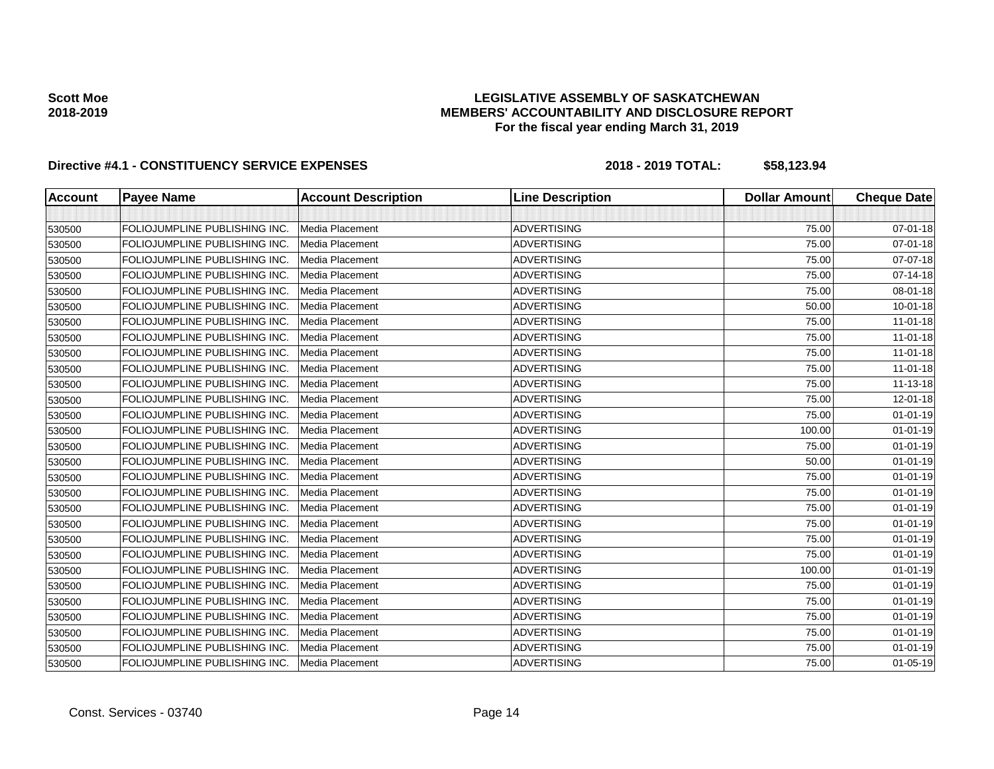### **LEGISLATIVE ASSEMBLY OF SASKATCHEWAN MEMBERS' ACCOUNTABILITY AND DISCLOSURE REPORT For the fiscal year ending March 31, 2019**

| <b>Account</b> | <b>Payee Name</b>             | <b>Account Description</b> | <b>Line Description</b> | <b>Dollar Amount</b> | <b>Cheque Date</b> |
|----------------|-------------------------------|----------------------------|-------------------------|----------------------|--------------------|
|                |                               |                            |                         |                      |                    |
| 530500         | FOLIOJUMPLINE PUBLISHING INC. | Media Placement            | <b>ADVERTISING</b>      | 75.00                | 07-01-18           |
| 530500         | FOLIOJUMPLINE PUBLISHING INC. | Media Placement            | <b>ADVERTISING</b>      | 75.00                | 07-01-18           |
| 530500         | FOLIOJUMPLINE PUBLISHING INC. | Media Placement            | <b>ADVERTISING</b>      | 75.00                | 07-07-18           |
| 530500         | FOLIOJUMPLINE PUBLISHING INC. | Media Placement            | <b>ADVERTISING</b>      | 75.00                | 07-14-18           |
| 530500         | FOLIOJUMPLINE PUBLISHING INC. | Media Placement            | <b>ADVERTISING</b>      | 75.00                | 08-01-18           |
| 530500         | FOLIOJUMPLINE PUBLISHING INC. | Media Placement            | <b>ADVERTISING</b>      | 50.00                | 10-01-18           |
| 530500         | FOLIOJUMPLINE PUBLISHING INC. | Media Placement            | <b>ADVERTISING</b>      | 75.00                | $11-01-18$         |
| 530500         | FOLIOJUMPLINE PUBLISHING INC. | Media Placement            | <b>ADVERTISING</b>      | 75.00                | $11-01-18$         |
| 530500         | FOLIOJUMPLINE PUBLISHING INC. | Media Placement            | <b>ADVERTISING</b>      | 75.00                | $11-01-18$         |
| 530500         | FOLIOJUMPLINE PUBLISHING INC. | Media Placement            | <b>ADVERTISING</b>      | 75.00                | $11-01-18$         |
| 530500         | FOLIOJUMPLINE PUBLISHING INC. | Media Placement            | <b>ADVERTISING</b>      | 75.00                | 11-13-18           |
| 530500         | FOLIOJUMPLINE PUBLISHING INC. | Media Placement            | <b>ADVERTISING</b>      | 75.00                | 12-01-18           |
| 530500         | FOLIOJUMPLINE PUBLISHING INC. | Media Placement            | <b>ADVERTISING</b>      | 75.00                | $01 - 01 - 19$     |
| 530500         | FOLIOJUMPLINE PUBLISHING INC. | Media Placement            | <b>ADVERTISING</b>      | 100.00               | $01 - 01 - 19$     |
| 530500         | FOLIOJUMPLINE PUBLISHING INC. | Media Placement            | <b>ADVERTISING</b>      | 75.00                | $01 - 01 - 19$     |
| 530500         | FOLIOJUMPLINE PUBLISHING INC. | Media Placement            | <b>ADVERTISING</b>      | 50.00                | $01 - 01 - 19$     |
| 530500         | FOLIOJUMPLINE PUBLISHING INC. | Media Placement            | <b>ADVERTISING</b>      | 75.00                | $01 - 01 - 19$     |
| 530500         | FOLIOJUMPLINE PUBLISHING INC. | Media Placement            | <b>ADVERTISING</b>      | 75.00                | $01 - 01 - 19$     |
| 530500         | FOLIOJUMPLINE PUBLISHING INC. | Media Placement            | <b>ADVERTISING</b>      | 75.00                | $01 - 01 - 19$     |
| 530500         | FOLIOJUMPLINE PUBLISHING INC. | Media Placement            | <b>ADVERTISING</b>      | 75.00                | $01 - 01 - 19$     |
| 530500         | FOLIOJUMPLINE PUBLISHING INC. | Media Placement            | <b>ADVERTISING</b>      | 75.00                | $01 - 01 - 19$     |
| 530500         | FOLIOJUMPLINE PUBLISHING INC. | Media Placement            | <b>ADVERTISING</b>      | 75.00                | $01 - 01 - 19$     |
| 530500         | FOLIOJUMPLINE PUBLISHING INC. | Media Placement            | <b>ADVERTISING</b>      | 100.00               | $01 - 01 - 19$     |
| 530500         | FOLIOJUMPLINE PUBLISHING INC. | Media Placement            | <b>ADVERTISING</b>      | 75.00                | $01 - 01 - 19$     |
| 530500         | FOLIOJUMPLINE PUBLISHING INC. | Media Placement            | <b>ADVERTISING</b>      | 75.00                | $01 - 01 - 19$     |
| 530500         | FOLIOJUMPLINE PUBLISHING INC. | Media Placement            | <b>ADVERTISING</b>      | 75.00                | $01 - 01 - 19$     |
| 530500         | FOLIOJUMPLINE PUBLISHING INC. | Media Placement            | ADVERTISING             | 75.00                | $01 - 01 - 19$     |
| 530500         | FOLIOJUMPLINE PUBLISHING INC. | Media Placement            | <b>ADVERTISING</b>      | 75.00                | $01 - 01 - 19$     |
| 530500         | FOLIOJUMPLINE PUBLISHING INC. | Media Placement            | <b>ADVERTISING</b>      | 75.00                | $01 - 05 - 19$     |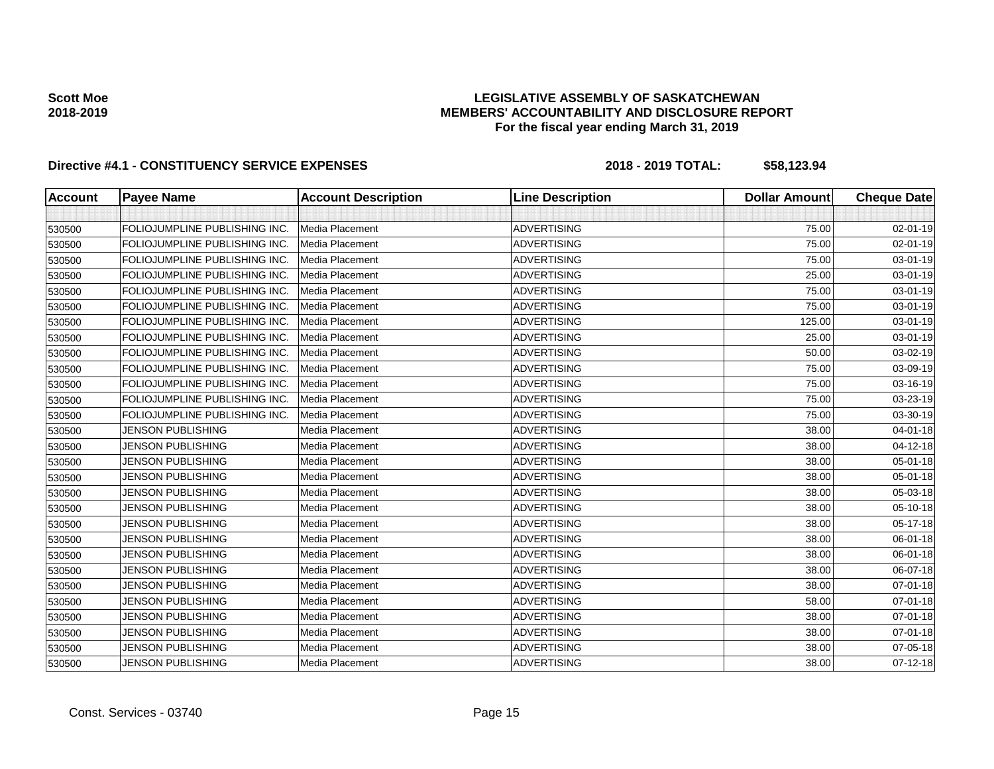### **LEGISLATIVE ASSEMBLY OF SASKATCHEWAN MEMBERS' ACCOUNTABILITY AND DISCLOSURE REPORT For the fiscal year ending March 31, 2019**

| <b>Account</b> | <b>Payee Name</b>             | <b>Account Description</b> | <b>Line Description</b> | <b>Dollar Amount</b> | <b>Cheque Date</b> |
|----------------|-------------------------------|----------------------------|-------------------------|----------------------|--------------------|
|                |                               |                            |                         |                      |                    |
| 530500         | FOLIOJUMPLINE PUBLISHING INC. | Media Placement            | <b>ADVERTISING</b>      | 75.00                | 02-01-19           |
| 530500         | FOLIOJUMPLINE PUBLISHING INC. | Media Placement            | <b>ADVERTISING</b>      | 75.00                | $02 - 01 - 19$     |
| 530500         | FOLIOJUMPLINE PUBLISHING INC. | Media Placement            | <b>ADVERTISING</b>      | 75.00                | 03-01-19           |
| 530500         | FOLIOJUMPLINE PUBLISHING INC. | Media Placement            | <b>ADVERTISING</b>      | 25.00                | 03-01-19           |
| 530500         | FOLIOJUMPLINE PUBLISHING INC. | Media Placement            | <b>ADVERTISING</b>      | 75.00                | 03-01-19           |
| 530500         | FOLIOJUMPLINE PUBLISHING INC. | Media Placement            | <b>ADVERTISING</b>      | 75.00                | 03-01-19           |
| 530500         | FOLIOJUMPLINE PUBLISHING INC. | Media Placement            | <b>ADVERTISING</b>      | 125.00               | 03-01-19           |
| 530500         | FOLIOJUMPLINE PUBLISHING INC. | Media Placement            | <b>ADVERTISING</b>      | 25.00                | 03-01-19           |
| 530500         | FOLIOJUMPLINE PUBLISHING INC. | Media Placement            | <b>ADVERTISING</b>      | 50.00                | 03-02-19           |
| 530500         | FOLIOJUMPLINE PUBLISHING INC. | Media Placement            | <b>ADVERTISING</b>      | 75.00                | 03-09-19           |
| 530500         | FOLIOJUMPLINE PUBLISHING INC. | Media Placement            | <b>ADVERTISING</b>      | 75.00                | 03-16-19           |
| 530500         | FOLIOJUMPLINE PUBLISHING INC. | Media Placement            | <b>ADVERTISING</b>      | 75.00                | 03-23-19           |
| 530500         | FOLIOJUMPLINE PUBLISHING INC. | Media Placement            | <b>ADVERTISING</b>      | 75.00                | 03-30-19           |
| 530500         | <b>JENSON PUBLISHING</b>      | Media Placement            | <b>ADVERTISING</b>      | 38.00                | $04 - 01 - 18$     |
| 530500         | <b>JENSON PUBLISHING</b>      | Media Placement            | <b>ADVERTISING</b>      | 38.00                | $04 - 12 - 18$     |
| 530500         | <b>JENSON PUBLISHING</b>      | Media Placement            | <b>ADVERTISING</b>      | 38.00                | $05 - 01 - 18$     |
| 530500         | <b>JENSON PUBLISHING</b>      | Media Placement            | <b>ADVERTISING</b>      | 38.00                | $05 - 01 - 18$     |
| 530500         | <b>JENSON PUBLISHING</b>      | Media Placement            | <b>ADVERTISING</b>      | 38.00                | 05-03-18           |
| 530500         | <b>JENSON PUBLISHING</b>      | Media Placement            | <b>ADVERTISING</b>      | 38.00                | 05-10-18           |
| 530500         | <b>JENSON PUBLISHING</b>      | Media Placement            | <b>ADVERTISING</b>      | 38.00                | 05-17-18           |
| 530500         | <b>JENSON PUBLISHING</b>      | Media Placement            | <b>ADVERTISING</b>      | 38.00                | 06-01-18           |
| 530500         | <b>JENSON PUBLISHING</b>      | Media Placement            | <b>ADVERTISING</b>      | 38.00                | 06-01-18           |
| 530500         | <b>JENSON PUBLISHING</b>      | Media Placement            | <b>ADVERTISING</b>      | 38.00                | 06-07-18           |
| 530500         | <b>JENSON PUBLISHING</b>      | Media Placement            | <b>ADVERTISING</b>      | 38.00                | $07 - 01 - 18$     |
| 530500         | <b>JENSON PUBLISHING</b>      | Media Placement            | <b>ADVERTISING</b>      | 58.00                | 07-01-18           |
| 530500         | <b>JENSON PUBLISHING</b>      | Media Placement            | <b>ADVERTISING</b>      | 38.00                | $07 - 01 - 18$     |
| 530500         | <b>JENSON PUBLISHING</b>      | Media Placement            | <b>ADVERTISING</b>      | 38.00                | 07-01-18           |
| 530500         | <b>JENSON PUBLISHING</b>      | Media Placement            | <b>ADVERTISING</b>      | 38.00                | 07-05-18           |
| 530500         | <b>JENSON PUBLISHING</b>      | Media Placement            | <b>ADVERTISING</b>      | 38.00                | $07 - 12 - 18$     |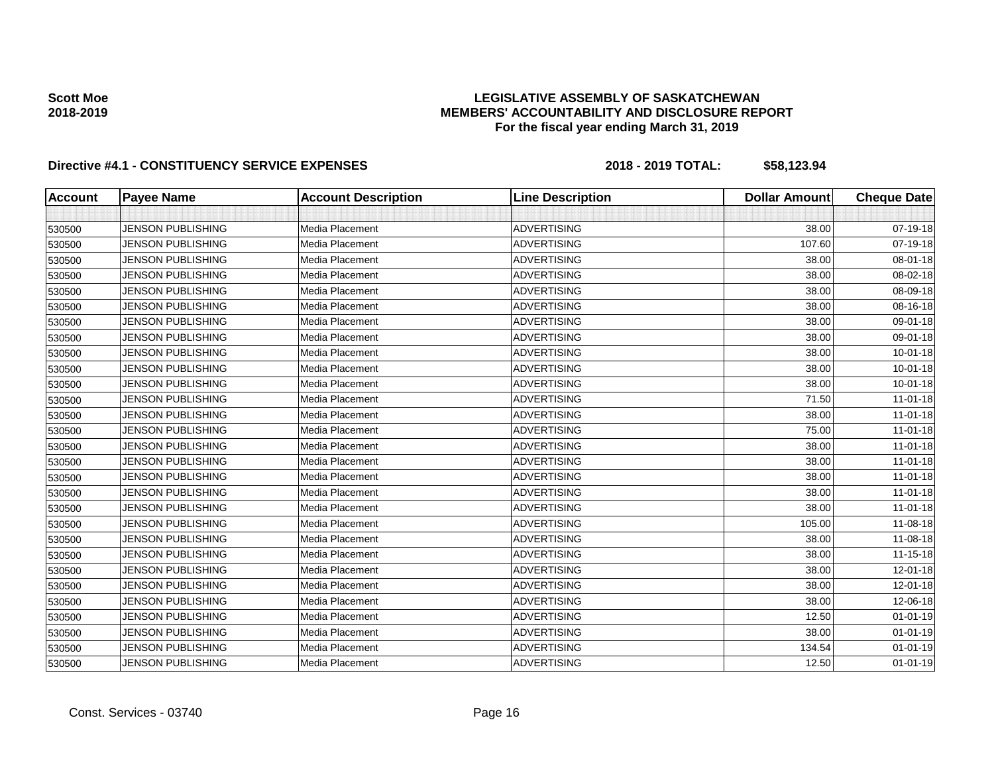### **LEGISLATIVE ASSEMBLY OF SASKATCHEWAN MEMBERS' ACCOUNTABILITY AND DISCLOSURE REPORT For the fiscal year ending March 31, 2019**

| <b>Account</b> | <b>Payee Name</b>        | <b>Account Description</b> | <b>Line Description</b> | <b>Dollar Amount</b> | <b>Cheque Date</b> |
|----------------|--------------------------|----------------------------|-------------------------|----------------------|--------------------|
|                |                          |                            |                         |                      |                    |
| 530500         | <b>JENSON PUBLISHING</b> | Media Placement            | <b>ADVERTISING</b>      | 38.00                | 07-19-18           |
| 530500         | <b>JENSON PUBLISHING</b> | Media Placement            | <b>ADVERTISING</b>      | 107.60               | 07-19-18           |
| 530500         | <b>JENSON PUBLISHING</b> | Media Placement            | <b>ADVERTISING</b>      | 38.00                | 08-01-18           |
| 530500         | <b>JENSON PUBLISHING</b> | Media Placement            | <b>ADVERTISING</b>      | 38.00                | 08-02-18           |
| 530500         | <b>JENSON PUBLISHING</b> | Media Placement            | <b>ADVERTISING</b>      | 38.00                | 08-09-18           |
| 530500         | <b>JENSON PUBLISHING</b> | Media Placement            | <b>ADVERTISING</b>      | 38.00                | 08-16-18           |
| 530500         | <b>JENSON PUBLISHING</b> | Media Placement            | <b>ADVERTISING</b>      | 38.00                | 09-01-18           |
| 530500         | <b>JENSON PUBLISHING</b> | Media Placement            | <b>ADVERTISING</b>      | 38.00                | 09-01-18           |
| 530500         | <b>JENSON PUBLISHING</b> | Media Placement            | <b>ADVERTISING</b>      | 38.00                | $10 - 01 - 18$     |
| 530500         | <b>JENSON PUBLISHING</b> | Media Placement            | <b>ADVERTISING</b>      | 38.00                | $10 - 01 - 18$     |
| 530500         | <b>JENSON PUBLISHING</b> | Media Placement            | <b>ADVERTISING</b>      | 38.00                | $10 - 01 - 18$     |
| 530500         | <b>JENSON PUBLISHING</b> | Media Placement            | <b>ADVERTISING</b>      | 71.50                | 11-01-18           |
| 530500         | <b>JENSON PUBLISHING</b> | Media Placement            | <b>ADVERTISING</b>      | 38.00                | $11-01-18$         |
| 530500         | <b>JENSON PUBLISHING</b> | Media Placement            | ADVERTISING             | 75.00                | 11-01-18           |
| 530500         | JENSON PUBLISHING        | Media Placement            | <b>ADVERTISING</b>      | 38.00                | $11-01-18$         |
| 530500         | <b>JENSON PUBLISHING</b> | Media Placement            | <b>ADVERTISING</b>      | 38.00                | $11-01-18$         |
| 530500         | <b>JENSON PUBLISHING</b> | Media Placement            | <b>ADVERTISING</b>      | 38.00                | $11-01-18$         |
| 530500         | <b>JENSON PUBLISHING</b> | Media Placement            | <b>ADVERTISING</b>      | 38.00                | $11-01-18$         |
| 530500         | <b>JENSON PUBLISHING</b> | Media Placement            | ADVERTISING             | 38.00                | $11-01-18$         |
| 530500         | <b>JENSON PUBLISHING</b> | Media Placement            | <b>ADVERTISING</b>      | 105.00               | 11-08-18           |
| 530500         | <b>JENSON PUBLISHING</b> | Media Placement            | <b>ADVERTISING</b>      | 38.00                | 11-08-18           |
| 530500         | <b>JENSON PUBLISHING</b> | Media Placement            | <b>ADVERTISING</b>      | 38.00                | 11-15-18           |
| 530500         | <b>JENSON PUBLISHING</b> | Media Placement            | <b>ADVERTISING</b>      | 38.00                | 12-01-18           |
| 530500         | <b>JENSON PUBLISHING</b> | Media Placement            | <b>ADVERTISING</b>      | 38.00                | 12-01-18           |
| 530500         | <b>JENSON PUBLISHING</b> | Media Placement            | <b>ADVERTISING</b>      | 38.00                | 12-06-18           |
| 530500         | <b>JENSON PUBLISHING</b> | Media Placement            | <b>ADVERTISING</b>      | 12.50                | $01 - 01 - 19$     |
| 530500         | <b>JENSON PUBLISHING</b> | Media Placement            | ADVERTISING             | 38.00                | $01 - 01 - 19$     |
| 530500         | <b>JENSON PUBLISHING</b> | Media Placement            | <b>ADVERTISING</b>      | 134.54               | $01 - 01 - 19$     |
| 530500         | <b>JENSON PUBLISHING</b> | Media Placement            | <b>ADVERTISING</b>      | 12.50                | $01 - 01 - 19$     |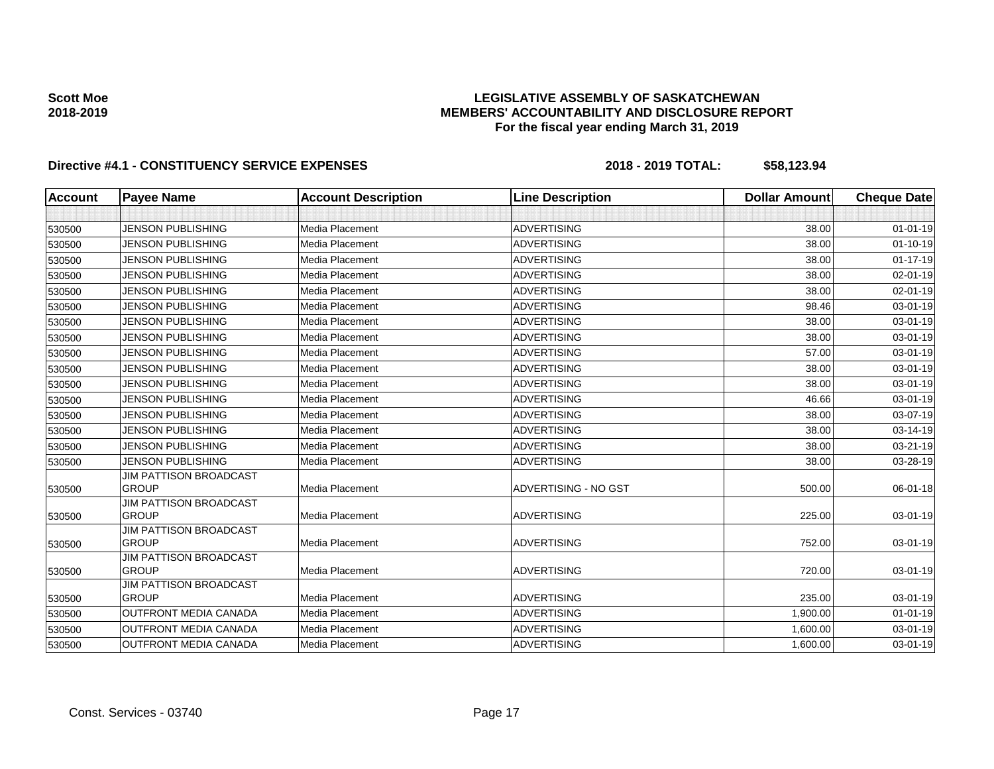### **LEGISLATIVE ASSEMBLY OF SASKATCHEWAN MEMBERS' ACCOUNTABILITY AND DISCLOSURE REPORT For the fiscal year ending March 31, 2019**

| <b>Account</b> | <b>Payee Name</b>                             | <b>Account Description</b> | <b>Line Description</b> | <b>Dollar Amount</b> | <b>Cheque Date</b> |
|----------------|-----------------------------------------------|----------------------------|-------------------------|----------------------|--------------------|
|                |                                               |                            |                         |                      |                    |
| 530500         | <b>JENSON PUBLISHING</b>                      | Media Placement            | <b>ADVERTISING</b>      | 38.00                | $01 - 01 - 19$     |
| 530500         | <b>JENSON PUBLISHING</b>                      | Media Placement            | <b>ADVERTISING</b>      | 38.00                | $01 - 10 - 19$     |
| 530500         | <b>JENSON PUBLISHING</b>                      | Media Placement            | <b>ADVERTISING</b>      | 38.00                | $01 - 17 - 19$     |
| 530500         | <b>JENSON PUBLISHING</b>                      | Media Placement            | <b>ADVERTISING</b>      | 38.00                | $02 - 01 - 19$     |
| 530500         | <b>JENSON PUBLISHING</b>                      | Media Placement            | <b>ADVERTISING</b>      | 38.00                | $02 - 01 - 19$     |
| 530500         | <b>JENSON PUBLISHING</b>                      | Media Placement            | <b>ADVERTISING</b>      | 98.46                | 03-01-19           |
| 530500         | <b>JENSON PUBLISHING</b>                      | Media Placement            | <b>ADVERTISING</b>      | 38.00                | 03-01-19           |
| 530500         | <b>JENSON PUBLISHING</b>                      | Media Placement            | <b>ADVERTISING</b>      | 38.00                | 03-01-19           |
| 530500         | <b>JENSON PUBLISHING</b>                      | Media Placement            | <b>ADVERTISING</b>      | 57.00                | 03-01-19           |
| 530500         | <b>JENSON PUBLISHING</b>                      | Media Placement            | <b>ADVERTISING</b>      | 38.00                | 03-01-19           |
| 530500         | <b>JENSON PUBLISHING</b>                      | Media Placement            | <b>ADVERTISING</b>      | 38.00                | 03-01-19           |
| 530500         | <b>JENSON PUBLISHING</b>                      | Media Placement            | <b>ADVERTISING</b>      | 46.66                | 03-01-19           |
| 530500         | <b>JENSON PUBLISHING</b>                      | Media Placement            | <b>ADVERTISING</b>      | 38.00                | 03-07-19           |
| 530500         | <b>JENSON PUBLISHING</b>                      | Media Placement            | <b>ADVERTISING</b>      | 38.00                | 03-14-19           |
| 530500         | <b>JENSON PUBLISHING</b>                      | Media Placement            | <b>ADVERTISING</b>      | 38.00                | 03-21-19           |
| 530500         | <b>JENSON PUBLISHING</b>                      | Media Placement            | <b>ADVERTISING</b>      | 38.00                | 03-28-19           |
| 530500         | <b>JIM PATTISON BROADCAST</b><br><b>GROUP</b> | Media Placement            | ADVERTISING - NO GST    | 500.00               | 06-01-18           |
| 530500         | JIM PATTISON BROADCAST<br><b>GROUP</b>        | Media Placement            | <b>ADVERTISING</b>      | 225.00               | 03-01-19           |
| 530500         | <b>JIM PATTISON BROADCAST</b><br><b>GROUP</b> | Media Placement            | <b>ADVERTISING</b>      | 752.00               | 03-01-19           |
| 530500         | <b>JIM PATTISON BROADCAST</b><br><b>GROUP</b> | Media Placement            | <b>ADVERTISING</b>      | 720.00               | 03-01-19           |
|                | <b>JIM PATTISON BROADCAST</b>                 |                            |                         |                      |                    |
| 530500         | <b>GROUP</b>                                  | Media Placement            | <b>ADVERTISING</b>      | 235.00               | 03-01-19           |
| 530500         | <b>OUTFRONT MEDIA CANADA</b>                  | Media Placement            | <b>ADVERTISING</b>      | 1,900.00             | $01 - 01 - 19$     |
| 530500         | OUTFRONT MEDIA CANADA                         | Media Placement            | <b>ADVERTISING</b>      | 1,600.00             | 03-01-19           |
| 530500         | <b>OUTFRONT MEDIA CANADA</b>                  | Media Placement            | <b>ADVERTISING</b>      | 1,600.00             | 03-01-19           |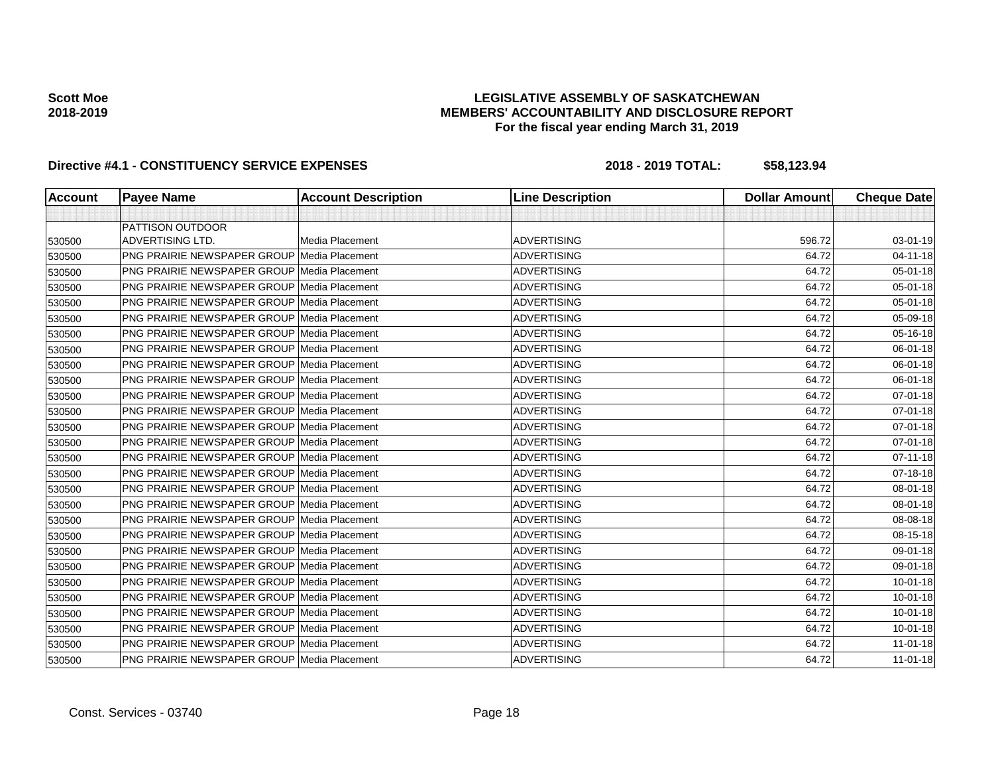### **LEGISLATIVE ASSEMBLY OF SASKATCHEWAN MEMBERS' ACCOUNTABILITY AND DISCLOSURE REPORT For the fiscal year ending March 31, 2019**

| Account | <b>Payee Name</b>                                  | <b>Account Description</b> | <b>Line Description</b> | <b>Dollar Amount</b> | <b>Cheque Date</b> |
|---------|----------------------------------------------------|----------------------------|-------------------------|----------------------|--------------------|
|         |                                                    |                            |                         |                      |                    |
|         | <b>PATTISON OUTDOOR</b>                            |                            |                         |                      |                    |
| 530500  | <b>ADVERTISING LTD.</b>                            | Media Placement            | <b>ADVERTISING</b>      | 596.72               | 03-01-19           |
| 530500  | <b>PNG PRAIRIE NEWSPAPER GROUP Media Placement</b> |                            | <b>ADVERTISING</b>      | 64.72                | $04 - 11 - 18$     |
| 530500  | <b>PNG PRAIRIE NEWSPAPER GROUP Media Placement</b> |                            | <b>ADVERTISING</b>      | 64.72                | 05-01-18           |
| 530500  | <b>PNG PRAIRIE NEWSPAPER GROUP Media Placement</b> |                            | <b>ADVERTISING</b>      | 64.72                | 05-01-18           |
| 530500  | <b>PNG PRAIRIE NEWSPAPER GROUP Media Placement</b> |                            | <b>ADVERTISING</b>      | 64.72                | 05-01-18           |
| 530500  | <b>PNG PRAIRIE NEWSPAPER GROUP Media Placement</b> |                            | <b>ADVERTISING</b>      | 64.72                | 05-09-18           |
| 530500  | <b>PNG PRAIRIE NEWSPAPER GROUP Media Placement</b> |                            | <b>ADVERTISING</b>      | 64.72                | 05-16-18           |
| 530500  | <b>PNG PRAIRIE NEWSPAPER GROUP Media Placement</b> |                            | <b>ADVERTISING</b>      | 64.72                | 06-01-18           |
| 530500  | <b>PNG PRAIRIE NEWSPAPER GROUP Media Placement</b> |                            | <b>ADVERTISING</b>      | 64.72                | 06-01-18           |
| 530500  | <b>PNG PRAIRIE NEWSPAPER GROUP Media Placement</b> |                            | <b>ADVERTISING</b>      | 64.72                | 06-01-18           |
| 530500  | <b>PNG PRAIRIE NEWSPAPER GROUP Media Placement</b> |                            | <b>ADVERTISING</b>      | 64.72                | 07-01-18           |
| 530500  | <b>PNG PRAIRIE NEWSPAPER GROUP Media Placement</b> |                            | <b>ADVERTISING</b>      | 64.72                | 07-01-18           |
| 530500  | PNG PRAIRIE NEWSPAPER GROUP Media Placement        |                            | <b>ADVERTISING</b>      | 64.72                | 07-01-18           |
| 530500  | <b>PNG PRAIRIE NEWSPAPER GROUP Media Placement</b> |                            | <b>ADVERTISING</b>      | 64.72                | 07-01-18           |
| 530500  | <b>PNG PRAIRIE NEWSPAPER GROUP Media Placement</b> |                            | <b>ADVERTISING</b>      | 64.72                | $07 - 11 - 18$     |
| 530500  | PNG PRAIRIE NEWSPAPER GROUP Media Placement        |                            | <b>ADVERTISING</b>      | 64.72                | 07-18-18           |
| 530500  | <b>PNG PRAIRIE NEWSPAPER GROUP Media Placement</b> |                            | <b>ADVERTISING</b>      | 64.72                | $08 - 01 - 18$     |
| 530500  | PNG PRAIRIE NEWSPAPER GROUP Media Placement        |                            | <b>ADVERTISING</b>      | 64.72                | 08-01-18           |
| 530500  | <b>PNG PRAIRIE NEWSPAPER GROUP Media Placement</b> |                            | <b>ADVERTISING</b>      | 64.72                | 08-08-18           |
| 530500  | <b>PNG PRAIRIE NEWSPAPER GROUP Media Placement</b> |                            | <b>ADVERTISING</b>      | 64.72                | 08-15-18           |
| 530500  | PNG PRAIRIE NEWSPAPER GROUP Media Placement        |                            | <b>ADVERTISING</b>      | 64.72                | 09-01-18           |
| 530500  | <b>PNG PRAIRIE NEWSPAPER GROUP Media Placement</b> |                            | <b>ADVERTISING</b>      | 64.72                | 09-01-18           |
| 530500  | PNG PRAIRIE NEWSPAPER GROUP Media Placement        |                            | <b>ADVERTISING</b>      | 64.72                | $10 - 01 - 18$     |
| 530500  | <b>PNG PRAIRIE NEWSPAPER GROUP Media Placement</b> |                            | <b>ADVERTISING</b>      | 64.72                | $10 - 01 - 18$     |
| 530500  | <b>PNG PRAIRIE NEWSPAPER GROUP Media Placement</b> |                            | <b>ADVERTISING</b>      | 64.72                | $10 - 01 - 18$     |
| 530500  | PNG PRAIRIE NEWSPAPER GROUP Media Placement        |                            | <b>ADVERTISING</b>      | 64.72                | 10-01-18           |
| 530500  | <b>PNG PRAIRIE NEWSPAPER GROUP Media Placement</b> |                            | <b>ADVERTISING</b>      | 64.72                | $11-01-18$         |
| 530500  | PNG PRAIRIE NEWSPAPER GROUP Media Placement        |                            | <b>ADVERTISING</b>      | 64.72                | $11-01-18$         |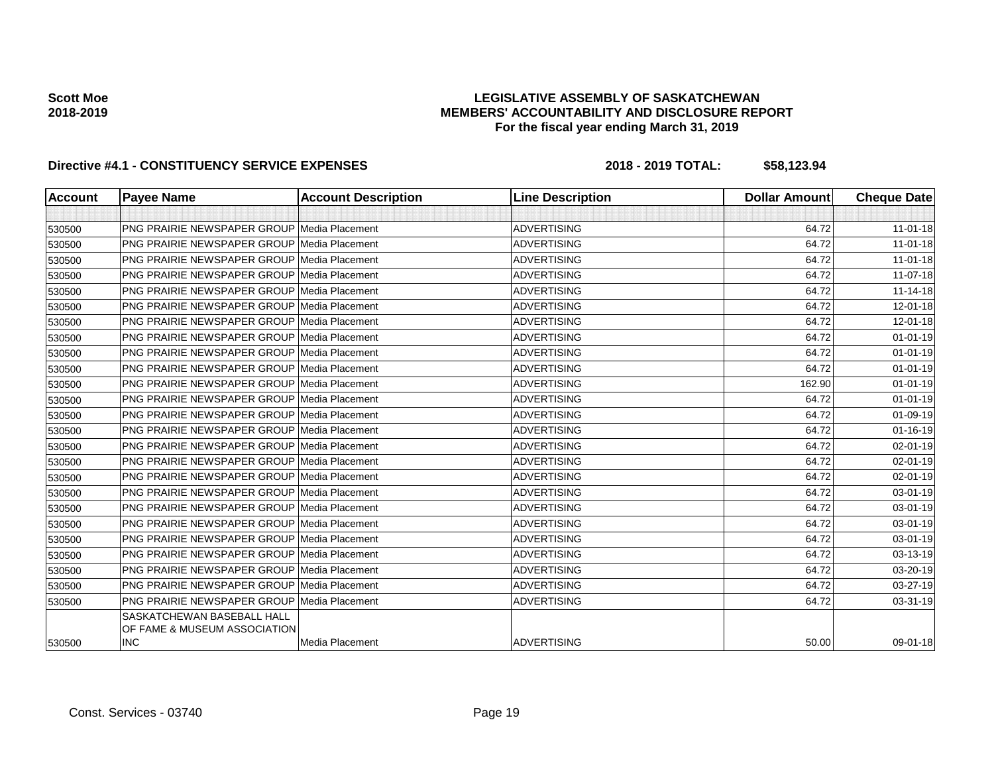### **LEGISLATIVE ASSEMBLY OF SASKATCHEWAN MEMBERS' ACCOUNTABILITY AND DISCLOSURE REPORT For the fiscal year ending March 31, 2019**

| <b>Account</b> | <b>Payee Name</b>                                                 | <b>Account Description</b> | <b>Line Description</b> | <b>Dollar Amount</b> | <b>Cheque Date</b> |
|----------------|-------------------------------------------------------------------|----------------------------|-------------------------|----------------------|--------------------|
|                |                                                                   |                            |                         |                      |                    |
| 530500         | <b>PNG PRAIRIE NEWSPAPER GROUP Media Placement</b>                |                            | <b>ADVERTISING</b>      | 64.72                | $11-01-18$         |
| 530500         | <b>PNG PRAIRIE NEWSPAPER GROUP Media Placement</b>                |                            | <b>ADVERTISING</b>      | 64.72                | $11-01-18$         |
| 530500         | <b>PNG PRAIRIE NEWSPAPER GROUP Media Placement</b>                |                            | <b>ADVERTISING</b>      | 64.72                | $11 - 01 - 18$     |
| 530500         | <b>PNG PRAIRIE NEWSPAPER GROUP Media Placement</b>                |                            | <b>ADVERTISING</b>      | 64.72                | $11 - 07 - 18$     |
| 530500         | <b>PNG PRAIRIE NEWSPAPER GROUP Media Placement</b>                |                            | <b>ADVERTISING</b>      | 64.72                | $11 - 14 - 18$     |
| 530500         | <b>PNG PRAIRIE NEWSPAPER GROUP Media Placement</b>                |                            | <b>ADVERTISING</b>      | 64.72                | $12 - 01 - 18$     |
| 530500         | <b>PNG PRAIRIE NEWSPAPER GROUP Media Placement</b>                |                            | <b>ADVERTISING</b>      | 64.72                | $12 - 01 - 18$     |
| 530500         | <b>PNG PRAIRIE NEWSPAPER GROUP Media Placement</b>                |                            | <b>ADVERTISING</b>      | 64.72                | $01 - 01 - 19$     |
| 530500         | <b>PNG PRAIRIE NEWSPAPER GROUP Media Placement</b>                |                            | <b>ADVERTISING</b>      | 64.72                | $01 - 01 - 19$     |
| 530500         | <b>PNG PRAIRIE NEWSPAPER GROUP Media Placement</b>                |                            | <b>ADVERTISING</b>      | 64.72                | $01 - 01 - 19$     |
| 530500         | <b>PNG PRAIRIE NEWSPAPER GROUP Media Placement</b>                |                            | <b>ADVERTISING</b>      | 162.90               | $01 - 01 - 19$     |
| 530500         | <b>PNG PRAIRIE NEWSPAPER GROUP Media Placement</b>                |                            | <b>ADVERTISING</b>      | 64.72                | $01 - 01 - 19$     |
| 530500         | <b>PNG PRAIRIE NEWSPAPER GROUP Media Placement</b>                |                            | <b>ADVERTISING</b>      | 64.72                | $01 - 09 - 19$     |
| 530500         | PNG PRAIRIE NEWSPAPER GROUP Media Placement                       |                            | <b>ADVERTISING</b>      | 64.72                | $01 - 16 - 19$     |
| 530500         | <b>PNG PRAIRIE NEWSPAPER GROUP Media Placement</b>                |                            | <b>ADVERTISING</b>      | 64.72                | 02-01-19           |
| 530500         | PNG PRAIRIE NEWSPAPER GROUP Media Placement                       |                            | <b>ADVERTISING</b>      | 64.72                | $02 - 01 - 19$     |
| 530500         | <b>PNG PRAIRIE NEWSPAPER GROUP Media Placement</b>                |                            | <b>ADVERTISING</b>      | 64.72                | $02 - 01 - 19$     |
| 530500         | PNG PRAIRIE NEWSPAPER GROUP Media Placement                       |                            | <b>ADVERTISING</b>      | 64.72                | 03-01-19           |
| 530500         | <b>PNG PRAIRIE NEWSPAPER GROUP Media Placement</b>                |                            | <b>ADVERTISING</b>      | 64.72                | 03-01-19           |
| 530500         | <b>PNG PRAIRIE NEWSPAPER GROUP Media Placement</b>                |                            | <b>ADVERTISING</b>      | 64.72                | 03-01-19           |
| 530500         | <b>PNG PRAIRIE NEWSPAPER GROUP Media Placement</b>                |                            | <b>ADVERTISING</b>      | 64.72                | 03-01-19           |
| 530500         | <b>PNG PRAIRIE NEWSPAPER GROUP Media Placement</b>                |                            | <b>ADVERTISING</b>      | 64.72                | 03-13-19           |
| 530500         | <b>PNG PRAIRIE NEWSPAPER GROUP Media Placement</b>                |                            | <b>ADVERTISING</b>      | 64.72                | 03-20-19           |
| 530500         | <b>PNG PRAIRIE NEWSPAPER GROUP Media Placement</b>                |                            | <b>ADVERTISING</b>      | 64.72                | 03-27-19           |
| 530500         | <b>PNG PRAIRIE NEWSPAPER GROUP Media Placement</b>                |                            | <b>ADVERTISING</b>      | 64.72                | 03-31-19           |
|                | <b>SASKATCHEWAN BASEBALL HALL</b><br>OF FAME & MUSEUM ASSOCIATION |                            |                         |                      |                    |
| 530500         | <b>INC</b>                                                        | Media Placement            | <b>ADVERTISING</b>      | 50.00                | 09-01-18           |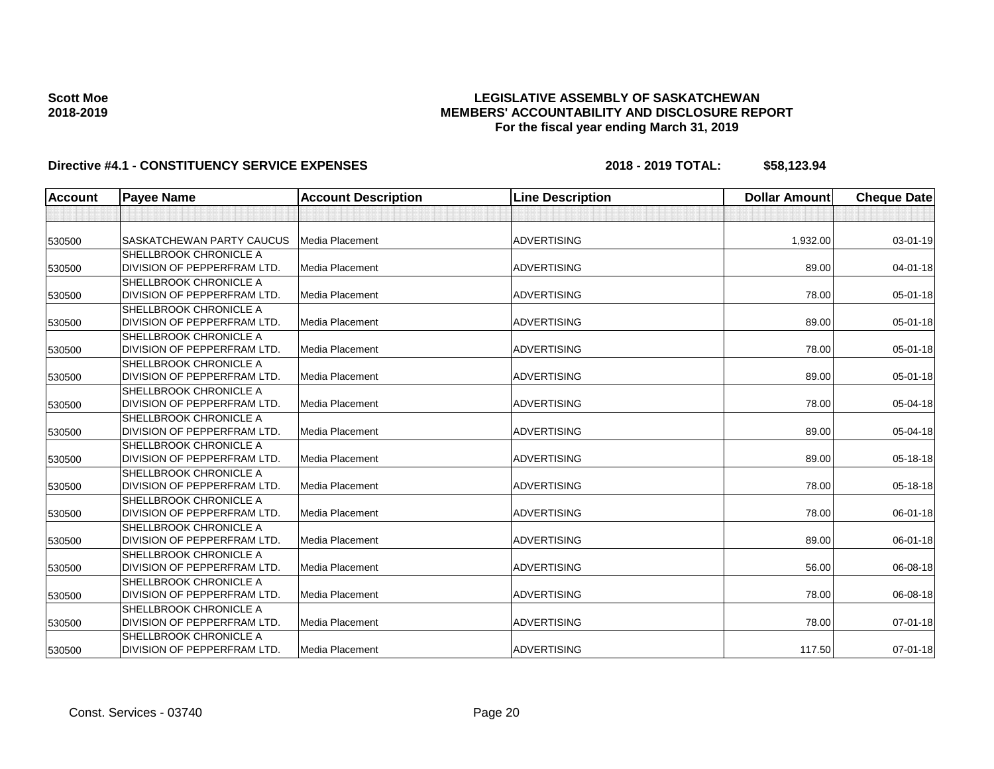### **LEGISLATIVE ASSEMBLY OF SASKATCHEWAN MEMBERS' ACCOUNTABILITY AND DISCLOSURE REPORT For the fiscal year ending March 31, 2019**

| <b>Account</b> | <b>Payee Name</b>                                            | <b>Account Description</b> | <b>Line Description</b> | <b>Dollar Amount</b> | <b>Cheque Date</b> |
|----------------|--------------------------------------------------------------|----------------------------|-------------------------|----------------------|--------------------|
|                |                                                              |                            |                         |                      |                    |
| 530500         | <b>SASKATCHEWAN PARTY CAUCUS</b>                             | <b>Media Placement</b>     | <b>ADVERTISING</b>      | 1,932.00             | 03-01-19           |
| 530500         | SHELLBROOK CHRONICLE A<br>DIVISION OF PEPPERFRAM LTD.        | Media Placement            | <b>ADVERTISING</b>      | 89.00                | 04-01-18           |
| 530500         | <b>SHELLBROOK CHRONICLE A</b><br>DIVISION OF PEPPERFRAM LTD. | Media Placement            | <b>ADVERTISING</b>      | 78.00                | 05-01-18           |
| 530500         | <b>SHELLBROOK CHRONICLE A</b><br>DIVISION OF PEPPERFRAM LTD. | Media Placement            | <b>ADVERTISING</b>      | 89.00                | 05-01-18           |
| 530500         | <b>SHELLBROOK CHRONICLE A</b><br>DIVISION OF PEPPERFRAM LTD. | Media Placement            | <b>ADVERTISING</b>      | 78.00                | 05-01-18           |
| 530500         | <b>SHELLBROOK CHRONICLE A</b><br>DIVISION OF PEPPERFRAM LTD. | Media Placement            | <b>ADVERTISING</b>      | 89.00                | 05-01-18           |
| 530500         | <b>SHELLBROOK CHRONICLE A</b><br>DIVISION OF PEPPERFRAM LTD. | Media Placement            | <b>ADVERTISING</b>      | 78.00                | 05-04-18           |
| 530500         | <b>SHELLBROOK CHRONICLE A</b><br>DIVISION OF PEPPERFRAM LTD. | <b>Media Placement</b>     | <b>ADVERTISING</b>      | 89.00                | 05-04-18           |
| 530500         | SHELLBROOK CHRONICLE A<br>DIVISION OF PEPPERFRAM LTD.        | Media Placement            | <b>ADVERTISING</b>      | 89.00                | 05-18-18           |
| 530500         | <b>SHELLBROOK CHRONICLE A</b><br>DIVISION OF PEPPERFRAM LTD. | <b>Media Placement</b>     | <b>ADVERTISING</b>      | 78.00                | 05-18-18           |
| 530500         | <b>SHELLBROOK CHRONICLE A</b><br>DIVISION OF PEPPERFRAM LTD. | <b>Media Placement</b>     | <b>ADVERTISING</b>      | 78.00                | 06-01-18           |
| 530500         | <b>SHELLBROOK CHRONICLE A</b><br>DIVISION OF PEPPERFRAM LTD. | <b>Media Placement</b>     | <b>ADVERTISING</b>      | 89.00                | 06-01-18           |
| 530500         | <b>SHELLBROOK CHRONICLE A</b><br>DIVISION OF PEPPERFRAM LTD. | Media Placement            | <b>ADVERTISING</b>      | 56.00                | 06-08-18           |
| 530500         | <b>SHELLBROOK CHRONICLE A</b><br>DIVISION OF PEPPERFRAM LTD. | Media Placement            | <b>ADVERTISING</b>      | 78.00                | 06-08-18           |
| 530500         | SHELLBROOK CHRONICLE A<br>DIVISION OF PEPPERFRAM LTD.        | <b>Media Placement</b>     | ADVERTISING             | 78.00                | $07 - 01 - 18$     |
| 530500         | <b>SHELLBROOK CHRONICLE A</b><br>DIVISION OF PEPPERFRAM LTD. | Media Placement            | <b>ADVERTISING</b>      | 117.50               | $07 - 01 - 18$     |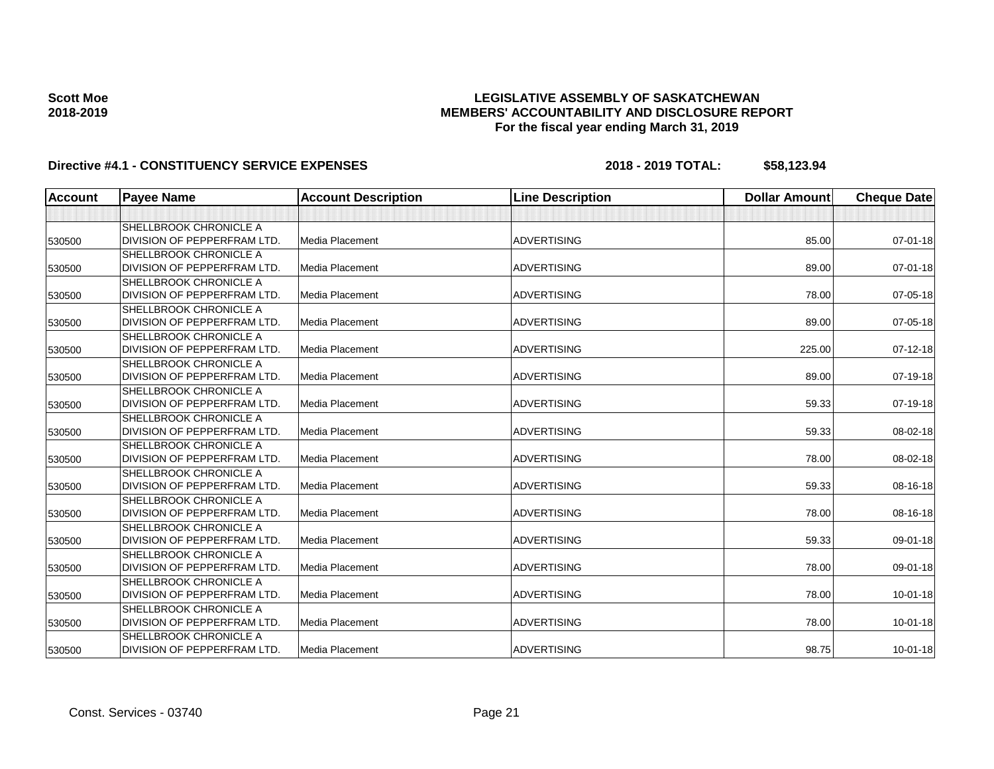### **LEGISLATIVE ASSEMBLY OF SASKATCHEWAN MEMBERS' ACCOUNTABILITY AND DISCLOSURE REPORT For the fiscal year ending March 31, 2019**

| <b>Account</b> | <b>Payee Name</b>                  | <b>Account Description</b> | <b>Line Description</b> | <b>Dollar Amount</b> | <b>Cheque Date</b> |
|----------------|------------------------------------|----------------------------|-------------------------|----------------------|--------------------|
|                |                                    |                            |                         |                      |                    |
|                | SHELLBROOK CHRONICLE A             |                            |                         |                      |                    |
| 530500         | DIVISION OF PEPPERFRAM LTD.        | Media Placement            | <b>ADVERTISING</b>      | 85.00                | 07-01-18           |
|                | SHELLBROOK CHRONICLE A             |                            |                         |                      |                    |
| 530500         | DIVISION OF PEPPERFRAM LTD.        | Media Placement            | <b>ADVERTISING</b>      | 89.00                | 07-01-18           |
|                | <b>SHELLBROOK CHRONICLE A</b>      |                            |                         |                      |                    |
| 530500         | DIVISION OF PEPPERFRAM LTD.        | <b>Media Placement</b>     | <b>ADVERTISING</b>      | 78.00                | 07-05-18           |
|                | <b>SHELLBROOK CHRONICLE A</b>      |                            |                         |                      |                    |
| 530500         | DIVISION OF PEPPERFRAM LTD.        | Media Placement            | <b>ADVERTISING</b>      | 89.00                | 07-05-18           |
|                | <b>SHELLBROOK CHRONICLE A</b>      |                            |                         |                      |                    |
| 530500         | DIVISION OF PEPPERFRAM LTD.        | Media Placement            | <b>ADVERTISING</b>      | 225.00               | 07-12-18           |
|                | <b>SHELLBROOK CHRONICLE A</b>      |                            |                         |                      |                    |
| 530500         | DIVISION OF PEPPERFRAM LTD.        | <b>Media Placement</b>     | <b>ADVERTISING</b>      | 89.00                | 07-19-18           |
|                | <b>SHELLBROOK CHRONICLE A</b>      |                            |                         |                      |                    |
| 530500         | DIVISION OF PEPPERFRAM LTD.        | <b>Media Placement</b>     | <b>ADVERTISING</b>      | 59.33                | 07-19-18           |
|                | SHELLBROOK CHRONICLE A             |                            |                         |                      |                    |
| 530500         | DIVISION OF PEPPERFRAM LTD.        | <b>Media Placement</b>     | <b>ADVERTISING</b>      | 59.33                | 08-02-18           |
|                | SHELLBROOK CHRONICLE A             |                            |                         |                      |                    |
| 530500         | DIVISION OF PEPPERFRAM LTD.        | Media Placement            | <b>ADVERTISING</b>      | 78.00                | 08-02-18           |
|                | <b>SHELLBROOK CHRONICLE A</b>      |                            |                         |                      |                    |
| 530500         | DIVISION OF PEPPERFRAM LTD.        | <b>Media Placement</b>     | <b>ADVERTISING</b>      | 59.33                | 08-16-18           |
|                | <b>SHELLBROOK CHRONICLE A</b>      |                            |                         |                      |                    |
| 530500         | DIVISION OF PEPPERFRAM LTD.        | <b>Media Placement</b>     | <b>ADVERTISING</b>      | 78.00                | 08-16-18           |
|                | <b>SHELLBROOK CHRONICLE A</b>      |                            |                         |                      |                    |
| 530500         | DIVISION OF PEPPERFRAM LTD.        | <b>Media Placement</b>     | <b>ADVERTISING</b>      | 59.33                | 09-01-18           |
|                | <b>SHELLBROOK CHRONICLE A</b>      |                            |                         |                      |                    |
| 530500         | <b>DIVISION OF PEPPERFRAM LTD.</b> | Media Placement            | <b>ADVERTISING</b>      | 78.00                | 09-01-18           |
|                | <b>SHELLBROOK CHRONICLE A</b>      |                            |                         |                      |                    |
| 530500         | DIVISION OF PEPPERFRAM LTD.        | Media Placement            | <b>ADVERTISING</b>      | 78.00                | $10 - 01 - 18$     |
|                | SHELLBROOK CHRONICLE A             |                            |                         |                      |                    |
| 530500         | DIVISION OF PEPPERFRAM LTD.        | Media Placement            | <b>ADVERTISING</b>      | 78.00                | $10 - 01 - 18$     |
|                | <b>SHELLBROOK CHRONICLE A</b>      |                            |                         |                      |                    |
| 530500         | DIVISION OF PEPPERFRAM LTD.        | <b>Media Placement</b>     | <b>ADVERTISING</b>      | 98.75                | $10 - 01 - 18$     |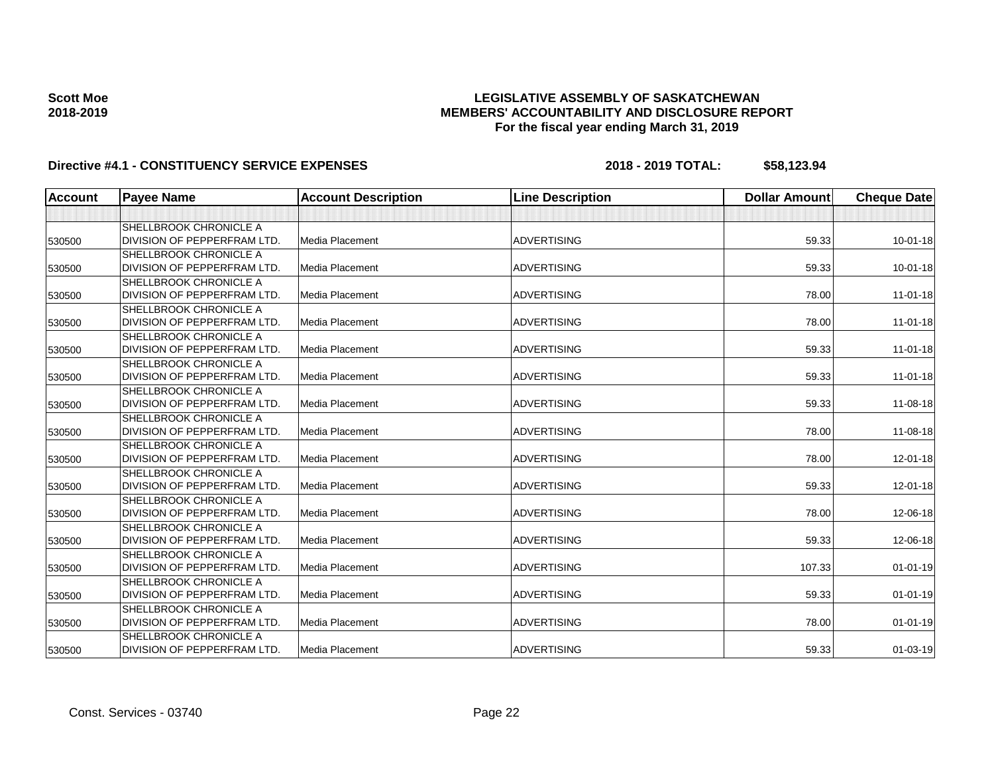### **LEGISLATIVE ASSEMBLY OF SASKATCHEWAN MEMBERS' ACCOUNTABILITY AND DISCLOSURE REPORT For the fiscal year ending March 31, 2019**

| <b>Account</b> | <b>Payee Name</b>                  | <b>Account Description</b> | <b>Line Description</b> | <b>Dollar Amount</b> | <b>Cheque Date</b> |
|----------------|------------------------------------|----------------------------|-------------------------|----------------------|--------------------|
|                |                                    |                            |                         |                      |                    |
|                | <b>SHELLBROOK CHRONICLE A</b>      |                            |                         |                      |                    |
| 530500         | DIVISION OF PEPPERFRAM LTD.        | Media Placement            | <b>ADVERTISING</b>      | 59.33                | $10 - 01 - 18$     |
|                | <b>SHELLBROOK CHRONICLE A</b>      |                            |                         |                      |                    |
| 530500         | DIVISION OF PEPPERFRAM LTD.        | Media Placement            | <b>ADVERTISING</b>      | 59.33                | 10-01-18           |
|                | <b>SHELLBROOK CHRONICLE A</b>      |                            |                         |                      |                    |
| 530500         | DIVISION OF PEPPERFRAM LTD.        | Media Placement            | <b>ADVERTISING</b>      | 78.00                | $11 - 01 - 18$     |
|                | <b>SHELLBROOK CHRONICLE A</b>      |                            |                         |                      |                    |
| 530500         | <b>DIVISION OF PEPPERFRAM LTD.</b> | Media Placement            | <b>ADVERTISING</b>      | 78.00                | $11-01-18$         |
|                | <b>SHELLBROOK CHRONICLE A</b>      |                            |                         |                      |                    |
| 530500         | DIVISION OF PEPPERFRAM LTD.        | Media Placement            | <b>ADVERTISING</b>      | 59.33                | $11-01-18$         |
|                | <b>SHELLBROOK CHRONICLE A</b>      |                            |                         |                      |                    |
| 530500         | DIVISION OF PEPPERFRAM LTD.        | Media Placement            | <b>ADVERTISING</b>      | 59.33                | 11-01-18           |
|                | <b>SHELLBROOK CHRONICLE A</b>      |                            |                         |                      |                    |
| 530500         | DIVISION OF PEPPERFRAM LTD.        | Media Placement            | <b>ADVERTISING</b>      | 59.33                | 11-08-18           |
|                | SHELLBROOK CHRONICLE A             |                            |                         |                      |                    |
| 530500         | DIVISION OF PEPPERFRAM LTD.        | Media Placement            | <b>ADVERTISING</b>      | 78.00                | 11-08-18           |
|                | <b>SHELLBROOK CHRONICLE A</b>      |                            |                         |                      |                    |
| 530500         | DIVISION OF PEPPERFRAM LTD.        | Media Placement            | <b>ADVERTISING</b>      | 78.00                | $12 - 01 - 18$     |
|                | <b>SHELLBROOK CHRONICLE A</b>      |                            |                         |                      |                    |
| 530500         | DIVISION OF PEPPERFRAM LTD.        | Media Placement            | <b>ADVERTISING</b>      | 59.33                | 12-01-18           |
|                | <b>SHELLBROOK CHRONICLE A</b>      |                            |                         |                      |                    |
| 530500         | DIVISION OF PEPPERFRAM LTD.        | Media Placement            | <b>ADVERTISING</b>      | 78.00                | 12-06-18           |
|                | <b>SHELLBROOK CHRONICLE A</b>      |                            |                         |                      |                    |
| 530500         | DIVISION OF PEPPERFRAM LTD.        | Media Placement            | <b>ADVERTISING</b>      | 59.33                | 12-06-18           |
|                | <b>SHELLBROOK CHRONICLE A</b>      |                            |                         |                      |                    |
| 530500         | DIVISION OF PEPPERFRAM LTD.        | Media Placement            | <b>ADVERTISING</b>      | 107.33               | $01 - 01 - 19$     |
|                | <b>SHELLBROOK CHRONICLE A</b>      |                            |                         |                      |                    |
| 530500         | DIVISION OF PEPPERFRAM LTD.        | Media Placement            | <b>ADVERTISING</b>      | 59.33                | $01 - 01 - 19$     |
|                | <b>SHELLBROOK CHRONICLE A</b>      |                            |                         |                      |                    |
| 530500         | DIVISION OF PEPPERFRAM LTD.        | Media Placement            | <b>ADVERTISING</b>      | 78.00                | $01 - 01 - 19$     |
|                | <b>SHELLBROOK CHRONICLE A</b>      |                            |                         |                      |                    |
| 530500         | DIVISION OF PEPPERFRAM LTD.        | Media Placement            | <b>ADVERTISING</b>      | 59.33                | $01 - 03 - 19$     |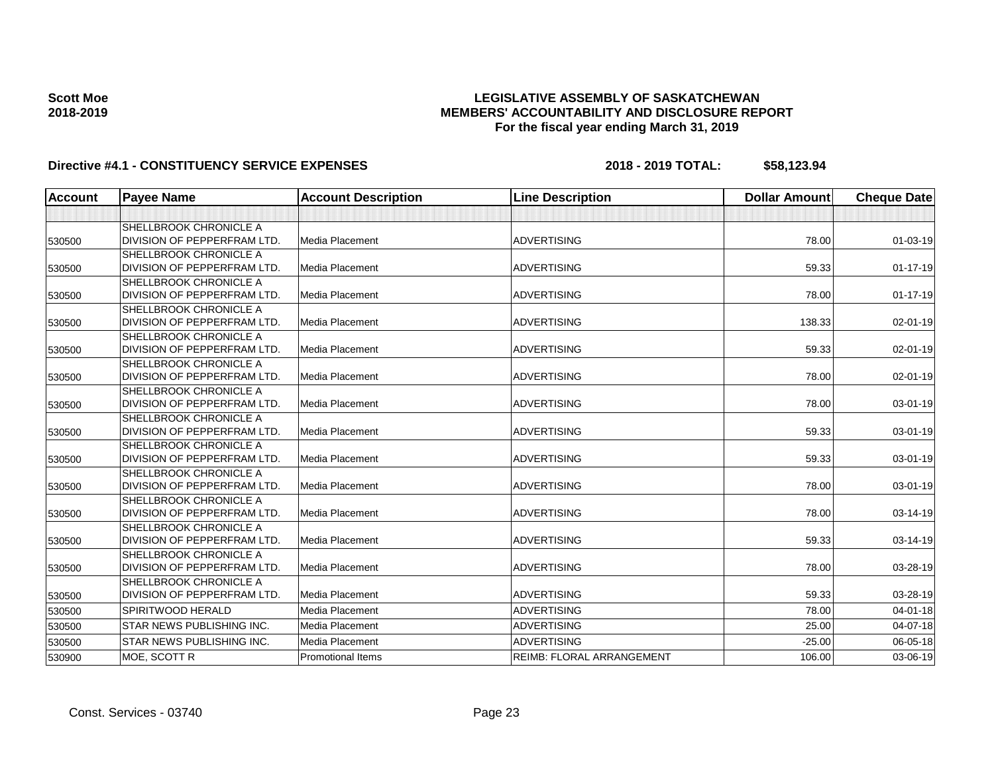### **LEGISLATIVE ASSEMBLY OF SASKATCHEWAN MEMBERS' ACCOUNTABILITY AND DISCLOSURE REPORT For the fiscal year ending March 31, 2019**

| <b>Account</b> | <b>Payee Name</b>                | <b>Account Description</b> | <b>Line Description</b>          | <b>Dollar Amount</b> | <b>Cheque Date</b> |
|----------------|----------------------------------|----------------------------|----------------------------------|----------------------|--------------------|
|                |                                  |                            |                                  |                      |                    |
|                | SHELLBROOK CHRONICLE A           |                            |                                  |                      |                    |
| 530500         | DIVISION OF PEPPERFRAM LTD.      | Media Placement            | <b>ADVERTISING</b>               | 78.00                | 01-03-19           |
|                | <b>SHELLBROOK CHRONICLE A</b>    |                            |                                  |                      |                    |
| 530500         | DIVISION OF PEPPERFRAM LTD.      | Media Placement            | <b>ADVERTISING</b>               | 59.33                | $01 - 17 - 19$     |
|                | <b>SHELLBROOK CHRONICLE A</b>    |                            |                                  |                      |                    |
| 530500         | DIVISION OF PEPPERFRAM LTD.      | Media Placement            | <b>ADVERTISING</b>               | 78.00                | $01 - 17 - 19$     |
|                | <b>SHELLBROOK CHRONICLE A</b>    |                            |                                  |                      |                    |
| 530500         | DIVISION OF PEPPERFRAM LTD.      | Media Placement            | <b>ADVERTISING</b>               | 138.33               | $02 - 01 - 19$     |
|                | SHELLBROOK CHRONICLE A           |                            |                                  |                      |                    |
| 530500         | DIVISION OF PEPPERFRAM LTD.      | <b>Media Placement</b>     | <b>ADVERTISING</b>               | 59.33                | 02-01-19           |
|                | <b>SHELLBROOK CHRONICLE A</b>    |                            |                                  |                      |                    |
| 530500         | DIVISION OF PEPPERFRAM LTD.      | <b>Media Placement</b>     | <b>ADVERTISING</b>               | 78.00                | 02-01-19           |
|                | <b>SHELLBROOK CHRONICLE A</b>    |                            |                                  |                      |                    |
| 530500         | DIVISION OF PEPPERFRAM LTD.      | <b>Media Placement</b>     | <b>ADVERTISING</b>               | 78.00                | 03-01-19           |
|                | <b>SHELLBROOK CHRONICLE A</b>    |                            |                                  |                      |                    |
| 530500         | DIVISION OF PEPPERFRAM LTD.      | Media Placement            | <b>ADVERTISING</b>               | 59.33                | 03-01-19           |
|                | <b>SHELLBROOK CHRONICLE A</b>    |                            |                                  |                      |                    |
| 530500         | DIVISION OF PEPPERFRAM LTD.      | <b>Media Placement</b>     | <b>ADVERTISING</b>               | 59.33                | 03-01-19           |
|                | SHELLBROOK CHRONICLE A           |                            |                                  |                      |                    |
| 530500         | DIVISION OF PEPPERFRAM LTD.      | Media Placement            | <b>ADVERTISING</b>               | 78.00                | 03-01-19           |
|                | <b>SHELLBROOK CHRONICLE A</b>    |                            |                                  |                      |                    |
| 530500         | DIVISION OF PEPPERFRAM LTD.      | <b>Media Placement</b>     | <b>ADVERTISING</b>               | 78.00                | 03-14-19           |
|                | <b>SHELLBROOK CHRONICLE A</b>    |                            |                                  |                      |                    |
| 530500         | DIVISION OF PEPPERFRAM LTD.      | Media Placement            | <b>ADVERTISING</b>               | 59.33                | 03-14-19           |
|                | <b>SHELLBROOK CHRONICLE A</b>    |                            |                                  |                      |                    |
| 530500         | DIVISION OF PEPPERFRAM LTD.      | Media Placement            | <b>ADVERTISING</b>               | 78.00                | 03-28-19           |
|                | SHELLBROOK CHRONICLE A           |                            |                                  |                      |                    |
| 530500         | DIVISION OF PEPPERFRAM LTD.      | Media Placement            | <b>ADVERTISING</b>               | 59.33                | 03-28-19           |
| 530500         | SPIRITWOOD HERALD                | <b>Media Placement</b>     | <b>ADVERTISING</b>               | 78.00                | 04-01-18           |
| 530500         | <b>STAR NEWS PUBLISHING INC.</b> | Media Placement            | <b>ADVERTISING</b>               | 25.00                | $04 - 07 - 18$     |
| 530500         | <b>STAR NEWS PUBLISHING INC.</b> | Media Placement            | <b>ADVERTISING</b>               | $-25.00$             | 06-05-18           |
| 530900         | MOE, SCOTT R                     | <b>Promotional Items</b>   | <b>REIMB: FLORAL ARRANGEMENT</b> | 106.00               | 03-06-19           |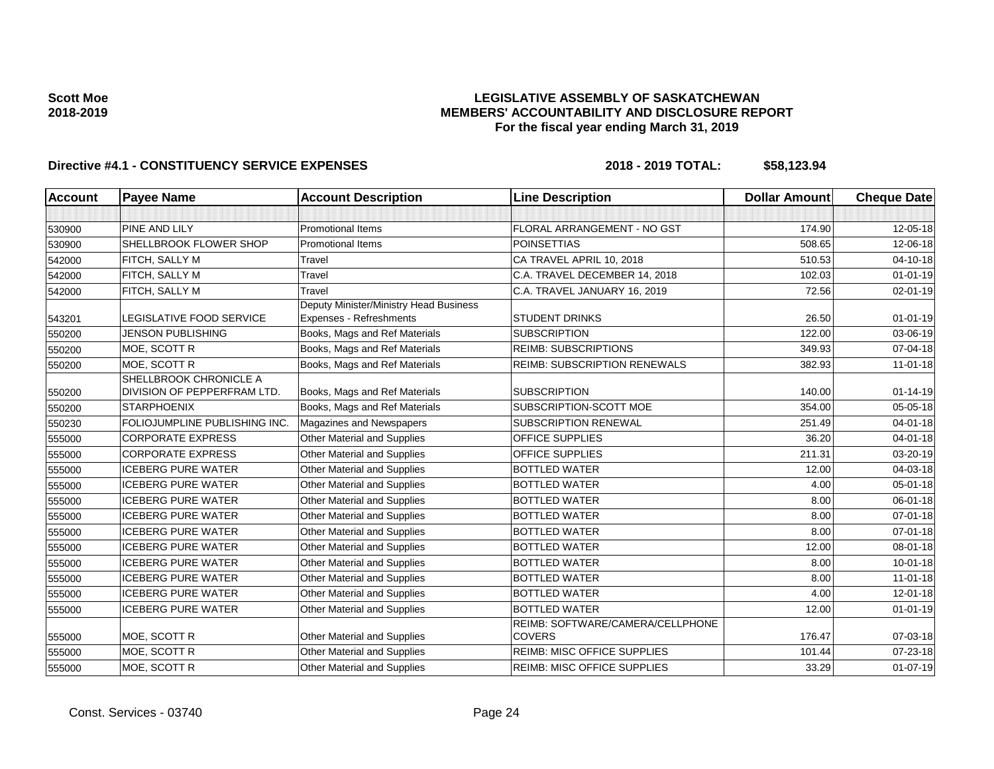### **LEGISLATIVE ASSEMBLY OF SASKATCHEWAN MEMBERS' ACCOUNTABILITY AND DISCLOSURE REPORT For the fiscal year ending March 31, 2019**

| <b>Account</b> | <b>Payee Name</b>                                     | <b>Account Description</b>             | <b>Line Description</b>                           | <b>Dollar Amount</b> | <b>Cheque Date</b> |
|----------------|-------------------------------------------------------|----------------------------------------|---------------------------------------------------|----------------------|--------------------|
|                |                                                       |                                        |                                                   |                      |                    |
| 530900         | <b>PINE AND LILY</b>                                  | <b>Promotional Items</b>               | FLORAL ARRANGEMENT - NO GST                       | 174.90               | 12-05-18           |
| 530900         | SHELLBROOK FLOWER SHOP                                | <b>Promotional Items</b>               | <b>POINSETTIAS</b>                                | 508.65               | 12-06-18           |
| 542000         | FITCH, SALLY M                                        | Travel                                 | CA TRAVEL APRIL 10, 2018                          | 510.53               | 04-10-18           |
| 542000         | FITCH, SALLY M                                        | Travel                                 | C.A. TRAVEL DECEMBER 14, 2018                     | 102.03               | $01 - 01 - 19$     |
| 542000         | FITCH, SALLY M                                        | Travel                                 | C.A. TRAVEL JANUARY 16, 2019                      | 72.56                | 02-01-19           |
|                |                                                       | Deputy Minister/Ministry Head Business |                                                   |                      |                    |
| 543201         | LEGISLATIVE FOOD SERVICE                              | Expenses - Refreshments                | <b>STUDENT DRINKS</b>                             | 26.50                | $01 - 01 - 19$     |
| 550200         | <b>JENSON PUBLISHING</b>                              | Books, Mags and Ref Materials          | <b>SUBSCRIPTION</b>                               | 122.00               | 03-06-19           |
| 550200         | MOE, SCOTT R                                          | Books, Mags and Ref Materials          | <b>REIMB: SUBSCRIPTIONS</b>                       | 349.93               | 07-04-18           |
| 550200         | MOE, SCOTT R                                          | Books, Mags and Ref Materials          | <b>REIMB: SUBSCRIPTION RENEWALS</b>               | 382.93               | $11 - 01 - 18$     |
| 550200         | SHELLBROOK CHRONICLE A<br>DIVISION OF PEPPERFRAM LTD. | Books, Mags and Ref Materials          | <b>SUBSCRIPTION</b>                               | 140.00               | $01 - 14 - 19$     |
| 550200         | <b>STARPHOENIX</b>                                    | Books, Mags and Ref Materials          | SUBSCRIPTION-SCOTT MOE                            | 354.00               | 05-05-18           |
| 550230         | FOLIOJUMPLINE PUBLISHING INC.                         | Magazines and Newspapers               | <b>SUBSCRIPTION RENEWAL</b>                       | 251.49               | 04-01-18           |
| 555000         | <b>CORPORATE EXPRESS</b>                              | Other Material and Supplies            | <b>OFFICE SUPPLIES</b>                            | 36.20                | $04 - 01 - 18$     |
| 555000         | <b>CORPORATE EXPRESS</b>                              | Other Material and Supplies            | OFFICE SUPPLIES                                   | 211.31               | 03-20-19           |
| 555000         | <b>ICEBERG PURE WATER</b>                             | <b>Other Material and Supplies</b>     | <b>BOTTLED WATER</b>                              | 12.00                | 04-03-18           |
| 555000         | <b>ICEBERG PURE WATER</b>                             | Other Material and Supplies            | <b>BOTTLED WATER</b>                              | 4.00                 | 05-01-18           |
| 555000         | <b>ICEBERG PURE WATER</b>                             | Other Material and Supplies            | <b>BOTTLED WATER</b>                              | 8.00                 | 06-01-18           |
| 555000         | <b>ICEBERG PURE WATER</b>                             | Other Material and Supplies            | <b>BOTTLED WATER</b>                              | 8.00                 | 07-01-18           |
| 555000         | <b>ICEBERG PURE WATER</b>                             | Other Material and Supplies            | <b>BOTTLED WATER</b>                              | 8.00                 | 07-01-18           |
| 555000         | <b>ICEBERG PURE WATER</b>                             | <b>Other Material and Supplies</b>     | <b>BOTTLED WATER</b>                              | 12.00                | 08-01-18           |
| 555000         | <b>ICEBERG PURE WATER</b>                             | <b>Other Material and Supplies</b>     | <b>BOTTLED WATER</b>                              | 8.00                 | $10 - 01 - 18$     |
| 555000         | <b>ICEBERG PURE WATER</b>                             | Other Material and Supplies            | <b>BOTTLED WATER</b>                              | 8.00                 | $11-01-18$         |
| 555000         | <b>ICEBERG PURE WATER</b>                             | Other Material and Supplies            | <b>BOTTLED WATER</b>                              | 4.00                 | $12 - 01 - 18$     |
| 555000         | <b>ICEBERG PURE WATER</b>                             | Other Material and Supplies            | <b>BOTTLED WATER</b>                              | 12.00                | $01 - 01 - 19$     |
| 555000         | MOE, SCOTT R                                          | Other Material and Supplies            | REIMB: SOFTWARE/CAMERA/CELLPHONE<br><b>COVERS</b> | 176.47               | 07-03-18           |
| 555000         | MOE, SCOTT R                                          | Other Material and Supplies            | <b>REIMB: MISC OFFICE SUPPLIES</b>                | 101.44               | 07-23-18           |
| 555000         | MOE, SCOTT R                                          | <b>Other Material and Supplies</b>     | <b>REIMB: MISC OFFICE SUPPLIES</b>                | 33.29                | $01-07-19$         |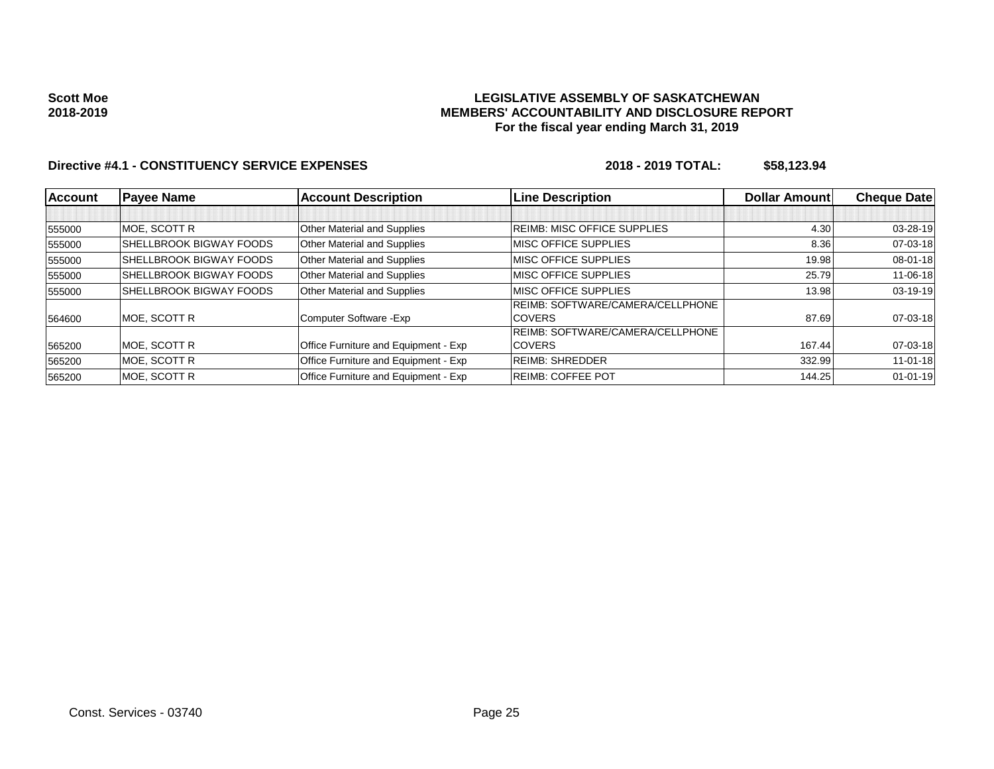#### **LEGISLATIVE ASSEMBLY OF SASKATCHEWAN MEMBERS' ACCOUNTABILITY AND DISCLOSURE REPORT For the fiscal year ending March 31, 2019**

| <b>Account</b> | <b>Payee Name</b>              | <b>Account Description</b>           | <b>Line Description</b>                 | <b>Dollar Amountl</b> | <b>Cheque Datel</b> |
|----------------|--------------------------------|--------------------------------------|-----------------------------------------|-----------------------|---------------------|
|                |                                |                                      |                                         |                       |                     |
| 555000         | <b>MOE. SCOTT R</b>            | Other Material and Supplies          | <b>REIMB: MISC OFFICE SUPPLIES</b>      | 4.30                  | 03-28-19            |
| 555000         | <b>SHELLBROOK BIGWAY FOODS</b> | <b>Other Material and Supplies</b>   | <b>IMISC OFFICE SUPPLIES</b>            | 8.36                  | 07-03-18            |
| 555000         | <b>SHELLBROOK BIGWAY FOODS</b> | Other Material and Supplies          | <b>MISC OFFICE SUPPLIES</b>             | 19.98                 | 08-01-18            |
| 555000         | <b>SHELLBROOK BIGWAY FOODS</b> | <b>Other Material and Supplies</b>   | <b>IMISC OFFICE SUPPLIES</b>            | 25.79                 | $11 - 06 - 18$      |
| 555000         | <b>SHELLBROOK BIGWAY FOODS</b> | <b>Other Material and Supplies</b>   | <b>MISC OFFICE SUPPLIES</b>             | 13.98                 | $03-19-19$          |
|                |                                |                                      | <b>REIMB: SOFTWARE/CAMERA/CELLPHONE</b> |                       |                     |
| 564600         | MOE. SCOTT R                   | Computer Software - Exp              | <b>COVERS</b>                           | 87.69                 | 07-03-18            |
|                |                                |                                      | <b>REIMB: SOFTWARE/CAMERA/CELLPHONE</b> |                       |                     |
| 565200         | MOE, SCOTT R                   | Office Furniture and Equipment - Exp | <b>COVERS</b>                           | 167.44                | 07-03-18            |
| 565200         | MOE. SCOTT R                   | Office Furniture and Equipment - Exp | <b>REIMB: SHREDDER</b>                  | 332.99                | $11 - 01 - 18$      |
| 565200         | <b>MOE. SCOTT R</b>            | Office Furniture and Equipment - Exp | <b>REIMB: COFFEE POT</b>                | 144.25                | $01 - 01 - 19$      |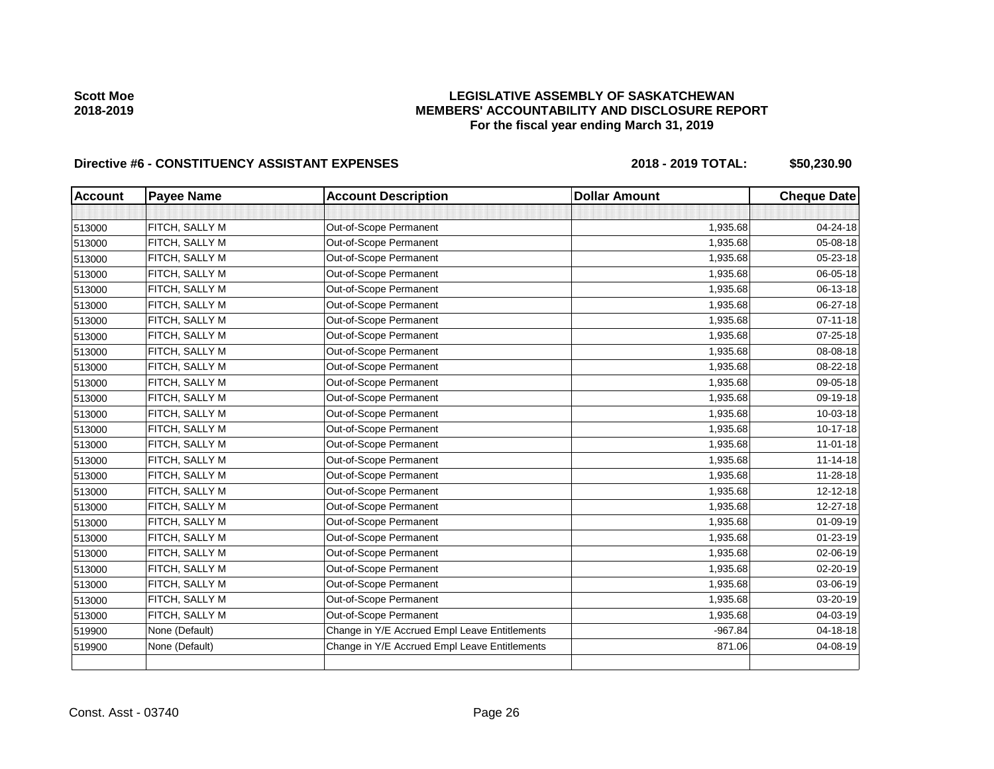# **LEGISLATIVE ASSEMBLY OF SASKATCHEWAN MEMBERS' ACCOUNTABILITY AND DISCLOSURE REPORT For the fiscal year ending March 31, 2019**

| <b>Account</b> | <b>Payee Name</b> | <b>Account Description</b>                    | <b>Dollar Amount</b> | <b>Cheque Date</b> |
|----------------|-------------------|-----------------------------------------------|----------------------|--------------------|
|                |                   |                                               |                      |                    |
| 513000         | FITCH, SALLY M    | Out-of-Scope Permanent                        | 1,935.68             | 04-24-18           |
| 513000         | FITCH, SALLY M    | Out-of-Scope Permanent                        | 1,935.68             | 05-08-18           |
| 513000         | FITCH, SALLY M    | Out-of-Scope Permanent                        | 1,935.68             | 05-23-18           |
| 513000         | FITCH, SALLY M    | Out-of-Scope Permanent                        | 1,935.68             | 06-05-18           |
| 513000         | FITCH, SALLY M    | Out-of-Scope Permanent                        | 1,935.68             | 06-13-18           |
| 513000         | FITCH, SALLY M    | Out-of-Scope Permanent                        | 1,935.68             | 06-27-18           |
| 513000         | FITCH, SALLY M    | Out-of-Scope Permanent                        | 1,935.68             | $07 - 11 - 18$     |
| 513000         | FITCH, SALLY M    | Out-of-Scope Permanent                        | 1,935.68             | 07-25-18           |
| 513000         | FITCH, SALLY M    | Out-of-Scope Permanent                        | 1,935.68             | 08-08-18           |
| 513000         | FITCH, SALLY M    | Out-of-Scope Permanent                        | 1,935.68             | 08-22-18           |
| 513000         | FITCH, SALLY M    | Out-of-Scope Permanent                        | 1,935.68             | 09-05-18           |
| 513000         | FITCH, SALLY M    | Out-of-Scope Permanent                        | 1,935.68             | 09-19-18           |
| 513000         | FITCH, SALLY M    | Out-of-Scope Permanent                        | 1,935.68             | 10-03-18           |
| 513000         | FITCH, SALLY M    | Out-of-Scope Permanent                        | 1,935.68             | 10-17-18           |
| 513000         | FITCH, SALLY M    | Out-of-Scope Permanent                        | 1,935.68             | $11 - 01 - 18$     |
| 513000         | FITCH, SALLY M    | Out-of-Scope Permanent                        | 1,935.68             | $11 - 14 - 18$     |
| 513000         | FITCH, SALLY M    | Out-of-Scope Permanent                        | 1,935.68             | 11-28-18           |
| 513000         | FITCH, SALLY M    | Out-of-Scope Permanent                        | 1,935.68             | 12-12-18           |
| 513000         | FITCH, SALLY M    | Out-of-Scope Permanent                        | 1,935.68             | 12-27-18           |
| 513000         | FITCH, SALLY M    | Out-of-Scope Permanent                        | 1,935.68             | 01-09-19           |
| 513000         | FITCH, SALLY M    | Out-of-Scope Permanent                        | 1,935.68             | $01 - 23 - 19$     |
| 513000         | FITCH, SALLY M    | Out-of-Scope Permanent                        | 1,935.68             | 02-06-19           |
| 513000         | FITCH, SALLY M    | Out-of-Scope Permanent                        | 1,935.68             | $02 - 20 - 19$     |
| 513000         | FITCH, SALLY M    | Out-of-Scope Permanent                        | 1,935.68             | 03-06-19           |
| 513000         | FITCH, SALLY M    | Out-of-Scope Permanent                        | 1,935.68             | 03-20-19           |
| 513000         | FITCH, SALLY M    | Out-of-Scope Permanent                        | 1,935.68             | 04-03-19           |
| 519900         | None (Default)    | Change in Y/E Accrued Empl Leave Entitlements | $-967.84$            | 04-18-18           |
| 519900         | None (Default)    | Change in Y/E Accrued Empl Leave Entitlements | 871.06               | 04-08-19           |
|                |                   |                                               |                      |                    |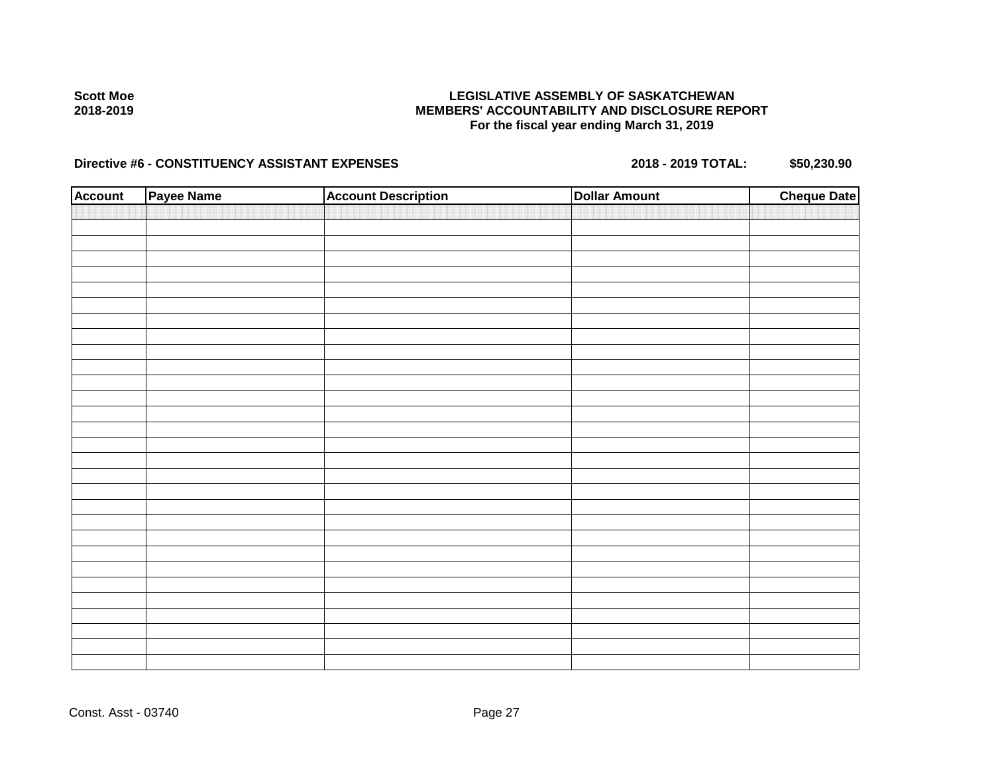## **LEGISLATIVE ASSEMBLY OF SASKATCHEWAN MEMBERS' ACCOUNTABILITY AND DISCLOSURE REPORT For the fiscal year ending March 31, 2019**

| <b>Account</b> | Payee Name | <b>Account Description</b> | <b>Dollar Amount</b> | <b>Cheque Date</b> |
|----------------|------------|----------------------------|----------------------|--------------------|
|                |            |                            |                      |                    |
|                |            |                            |                      |                    |
|                |            |                            |                      |                    |
|                |            |                            |                      |                    |
|                |            |                            |                      |                    |
|                |            |                            |                      |                    |
|                |            |                            |                      |                    |
|                |            |                            |                      |                    |
|                |            |                            |                      |                    |
|                |            |                            |                      |                    |
|                |            |                            |                      |                    |
|                |            |                            |                      |                    |
|                |            |                            |                      |                    |
|                |            |                            |                      |                    |
|                |            |                            |                      |                    |
|                |            |                            |                      |                    |
|                |            |                            |                      |                    |
|                |            |                            |                      |                    |
|                |            |                            |                      |                    |
|                |            |                            |                      |                    |
|                |            |                            |                      |                    |
|                |            |                            |                      |                    |
|                |            |                            |                      |                    |
|                |            |                            |                      |                    |
|                |            |                            |                      |                    |
|                |            |                            |                      |                    |
|                |            |                            |                      |                    |
|                |            |                            |                      |                    |
|                |            |                            |                      |                    |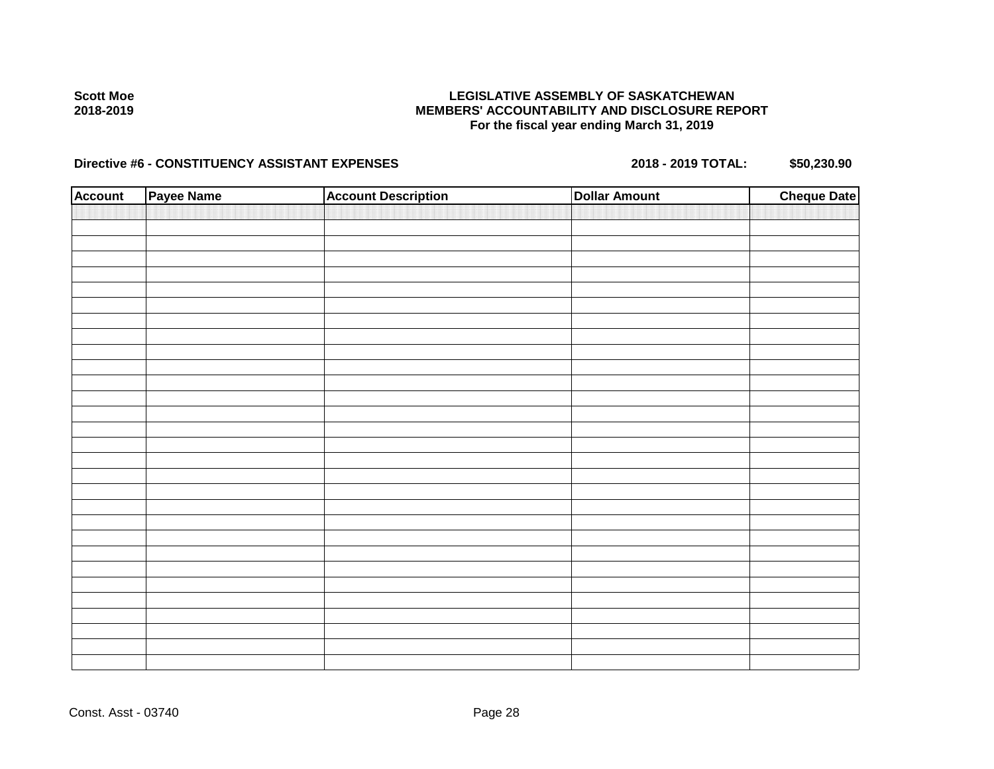## **LEGISLATIVE ASSEMBLY OF SASKATCHEWAN MEMBERS' ACCOUNTABILITY AND DISCLOSURE REPORT For the fiscal year ending March 31, 2019**

| <b>Account</b> | Payee Name | <b>Account Description</b> | <b>Dollar Amount</b> | <b>Cheque Date</b> |
|----------------|------------|----------------------------|----------------------|--------------------|
|                |            |                            |                      |                    |
|                |            |                            |                      |                    |
|                |            |                            |                      |                    |
|                |            |                            |                      |                    |
|                |            |                            |                      |                    |
|                |            |                            |                      |                    |
|                |            |                            |                      |                    |
|                |            |                            |                      |                    |
|                |            |                            |                      |                    |
|                |            |                            |                      |                    |
|                |            |                            |                      |                    |
|                |            |                            |                      |                    |
|                |            |                            |                      |                    |
|                |            |                            |                      |                    |
|                |            |                            |                      |                    |
|                |            |                            |                      |                    |
|                |            |                            |                      |                    |
|                |            |                            |                      |                    |
|                |            |                            |                      |                    |
|                |            |                            |                      |                    |
|                |            |                            |                      |                    |
|                |            |                            |                      |                    |
|                |            |                            |                      |                    |
|                |            |                            |                      |                    |
|                |            |                            |                      |                    |
|                |            |                            |                      |                    |
|                |            |                            |                      |                    |
|                |            |                            |                      |                    |
|                |            |                            |                      |                    |